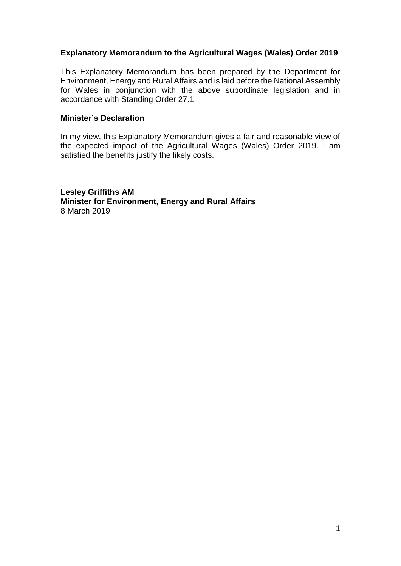#### **Explanatory Memorandum to the Agricultural Wages (Wales) Order 2019**

This Explanatory Memorandum has been prepared by the Department for Environment, Energy and Rural Affairs and is laid before the National Assembly for Wales in conjunction with the above subordinate legislation and in accordance with Standing Order 27.1

#### **Minister's Declaration**

In my view, this Explanatory Memorandum gives a fair and reasonable view of the expected impact of the Agricultural Wages (Wales) Order 2019. I am satisfied the benefits justify the likely costs.

**Lesley Griffiths AM Minister for Environment, Energy and Rural Affairs** 8 March 2019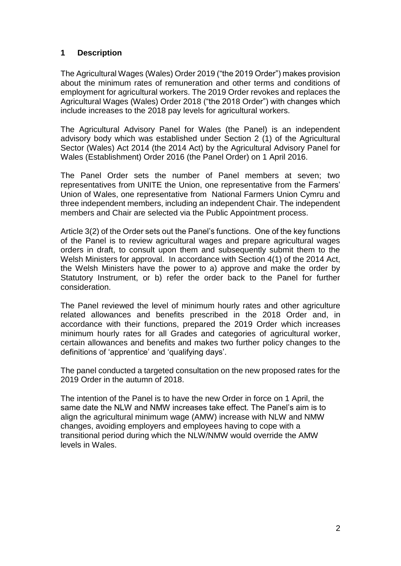# **1 Description**

The Agricultural Wages (Wales) Order 2019 ("the 2019 Order") makes provision about the minimum rates of remuneration and other terms and conditions of employment for agricultural workers. The 2019 Order revokes and replaces the Agricultural Wages (Wales) Order 2018 ("the 2018 Order") with changes which include increases to the 2018 pay levels for agricultural workers.

The Agricultural Advisory Panel for Wales (the Panel) is an independent advisory body which was established under Section 2 (1) of the Agricultural Sector (Wales) Act 2014 (the 2014 Act) by the Agricultural Advisory Panel for Wales (Establishment) Order 2016 (the Panel Order) on 1 April 2016.

The Panel Order sets the number of Panel members at seven; two representatives from UNITE the Union, one representative from the Farmers' Union of Wales, one representative from National Farmers Union Cymru and three independent members, including an independent Chair. The independent members and Chair are selected via the Public Appointment process.

Article 3(2) of the Order sets out the Panel's functions. One of the key functions of the Panel is to review agricultural wages and prepare agricultural wages orders in draft, to consult upon them and subsequently submit them to the Welsh Ministers for approval. In accordance with Section 4(1) of the 2014 Act, the Welsh Ministers have the power to a) approve and make the order by Statutory Instrument, or b) refer the order back to the Panel for further consideration.

The Panel reviewed the level of minimum hourly rates and other agriculture related allowances and benefits prescribed in the 2018 Order and, in accordance with their functions, prepared the 2019 Order which increases minimum hourly rates for all Grades and categories of agricultural worker, certain allowances and benefits and makes two further policy changes to the definitions of 'apprentice' and 'qualifying days'.

The panel conducted a targeted consultation on the new proposed rates for the 2019 Order in the autumn of 2018.

The intention of the Panel is to have the new Order in force on 1 April, the same date the NLW and NMW increases take effect. The Panel's aim is to align the agricultural minimum wage (AMW) increase with NLW and NMW changes, avoiding employers and employees having to cope with a transitional period during which the NLW/NMW would override the AMW levels in Wales.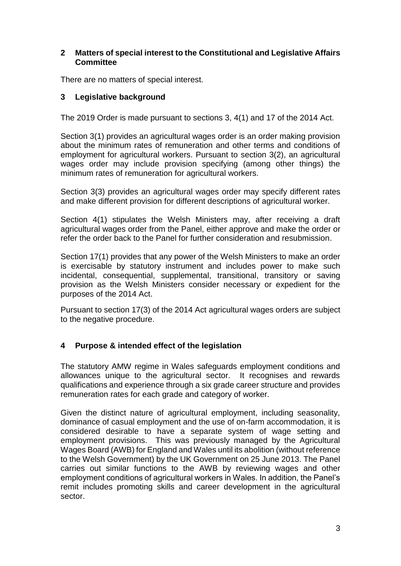#### **2 Matters of special interest to the Constitutional and Legislative Affairs Committee**

There are no matters of special interest.

# **3 Legislative background**

The 2019 Order is made pursuant to sections 3, 4(1) and 17 of the 2014 Act.

Section 3(1) provides an agricultural wages order is an order making provision about the minimum rates of remuneration and other terms and conditions of employment for agricultural workers. Pursuant to section 3(2), an agricultural wages order may include provision specifying (among other things) the minimum rates of remuneration for agricultural workers.

Section 3(3) provides an agricultural wages order may specify different rates and make different provision for different descriptions of agricultural worker.

Section 4(1) stipulates the Welsh Ministers may, after receiving a draft agricultural wages order from the Panel, either approve and make the order or refer the order back to the Panel for further consideration and resubmission.

Section 17(1) provides that any power of the Welsh Ministers to make an order is exercisable by statutory instrument and includes power to make such incidental, consequential, supplemental, transitional, transitory or saving provision as the Welsh Ministers consider necessary or expedient for the purposes of the 2014 Act.

Pursuant to section 17(3) of the 2014 Act agricultural wages orders are subject to the negative procedure.

# **4 Purpose & intended effect of the legislation**

The statutory AMW regime in Wales safeguards employment conditions and allowances unique to the agricultural sector. It recognises and rewards qualifications and experience through a six grade career structure and provides remuneration rates for each grade and category of worker.

Given the distinct nature of agricultural employment, including seasonality, dominance of casual employment and the use of on-farm accommodation, it is considered desirable to have a separate system of wage setting and employment provisions. This was previously managed by the Agricultural Wages Board (AWB) for England and Wales until its abolition (without reference to the Welsh Government) by the UK Government on 25 June 2013. The Panel carries out similar functions to the AWB by reviewing wages and other employment conditions of agricultural workers in Wales. In addition, the Panel's remit includes promoting skills and career development in the agricultural sector.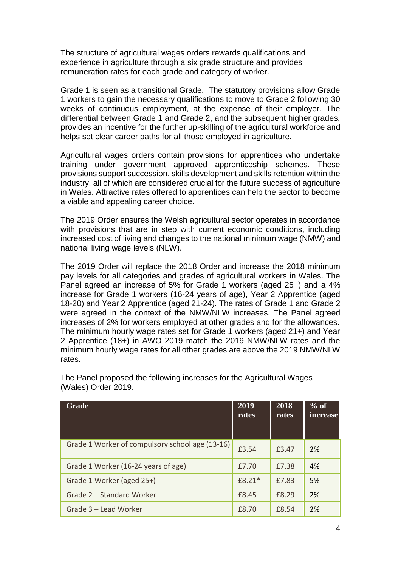The structure of agricultural wages orders rewards qualifications and experience in agriculture through a six grade structure and provides remuneration rates for each grade and category of worker.

Grade 1 is seen as a transitional Grade. The statutory provisions allow Grade 1 workers to gain the necessary qualifications to move to Grade 2 following 30 weeks of continuous employment, at the expense of their employer. The differential between Grade 1 and Grade 2, and the subsequent higher grades, provides an incentive for the further up-skilling of the agricultural workforce and helps set clear career paths for all those employed in agriculture.

Agricultural wages orders contain provisions for apprentices who undertake training under government approved apprenticeship schemes. These provisions support succession, skills development and skills retention within the industry, all of which are considered crucial for the future success of agriculture in Wales. Attractive rates offered to apprentices can help the sector to become a viable and appealing career choice.

The 2019 Order ensures the Welsh agricultural sector operates in accordance with provisions that are in step with current economic conditions, including increased cost of living and changes to the national minimum wage (NMW) and national living wage levels (NLW).

The 2019 Order will replace the 2018 Order and increase the 2018 minimum pay levels for all categories and grades of agricultural workers in Wales. The Panel agreed an increase of 5% for Grade 1 workers (aged 25+) and a 4% increase for Grade 1 workers (16-24 years of age), Year 2 Apprentice (aged 18-20) and Year 2 Apprentice (aged 21-24). The rates of Grade 1 and Grade 2 were agreed in the context of the NMW/NLW increases. The Panel agreed increases of 2% for workers employed at other grades and for the allowances. The minimum hourly wage rates set for Grade 1 workers (aged 21+) and Year 2 Apprentice (18+) in AWO 2019 match the 2019 NMW/NLW rates and the minimum hourly wage rates for all other grades are above the 2019 NMW/NLW rates.

| Grade                                           | 2019<br>rates | 2018<br>rates | $%$ of<br>increase |
|-------------------------------------------------|---------------|---------------|--------------------|
| Grade 1 Worker of compulsory school age (13-16) | £3.54         | £3.47         | 2%                 |
| Grade 1 Worker (16-24 years of age)             | £7.70         | £7.38         | 4%                 |
| Grade 1 Worker (aged 25+)                       | $f8.21*$      | £7.83         | 5%                 |
| Grade 2 – Standard Worker                       | £8.45         | £8.29         | 2%                 |
| Grade 3 - Lead Worker                           | £8.70         | £8.54         | 2%                 |

The Panel proposed the following increases for the Agricultural Wages (Wales) Order 2019.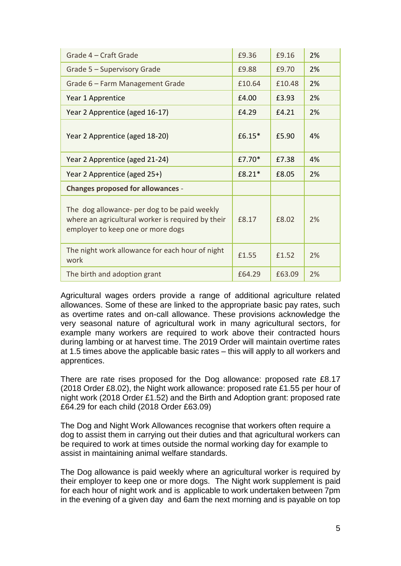| Grade 4 – Craft Grade                                                                                                                  | £9.36  | £9.16  | 2% |
|----------------------------------------------------------------------------------------------------------------------------------------|--------|--------|----|
| Grade 5 - Supervisory Grade                                                                                                            | £9.88  | £9.70  | 2% |
| Grade 6 - Farm Management Grade                                                                                                        | £10.64 | £10.48 | 2% |
| Year 1 Apprentice                                                                                                                      | £4.00  | £3.93  | 2% |
| Year 2 Apprentice (aged 16-17)                                                                                                         | £4.29  | £4.21  | 2% |
| Year 2 Apprentice (aged 18-20)                                                                                                         | £6.15* | £5.90  | 4% |
| Year 2 Apprentice (aged 21-24)                                                                                                         | £7.70* | £7.38  | 4% |
| Year 2 Apprentice (aged 25+)                                                                                                           | £8.21* | £8.05  | 2% |
| <b>Changes proposed for allowances -</b>                                                                                               |        |        |    |
| The dog allowance- per dog to be paid weekly<br>where an agricultural worker is required by their<br>employer to keep one or more dogs | £8.17  | £8.02  | 2% |
| The night work allowance for each hour of night<br>work                                                                                | £1.55  | £1.52  | 2% |
| The birth and adoption grant                                                                                                           | £64.29 | £63.09 | 2% |

Agricultural wages orders provide a range of additional agriculture related allowances. Some of these are linked to the appropriate basic pay rates, such as overtime rates and on-call allowance. These provisions acknowledge the very seasonal nature of agricultural work in many agricultural sectors, for example many workers are required to work above their contracted hours during lambing or at harvest time. The 2019 Order will maintain overtime rates at 1.5 times above the applicable basic rates – this will apply to all workers and apprentices.

There are rate rises proposed for the Dog allowance: proposed rate £8.17 (2018 Order £8.02), the Night work allowance: proposed rate £1.55 per hour of night work (2018 Order £1.52) and the Birth and Adoption grant: proposed rate £64.29 for each child (2018 Order £63.09)

The Dog and Night Work Allowances recognise that workers often require a dog to assist them in carrying out their duties and that agricultural workers can be required to work at times outside the normal working day for example to assist in maintaining animal welfare standards.

The Dog allowance is paid weekly where an agricultural worker is required by their employer to keep one or more dogs. The Night work supplement is paid for each hour of night work and is applicable to work undertaken between 7pm in the evening of a given day and 6am the next morning and is payable on top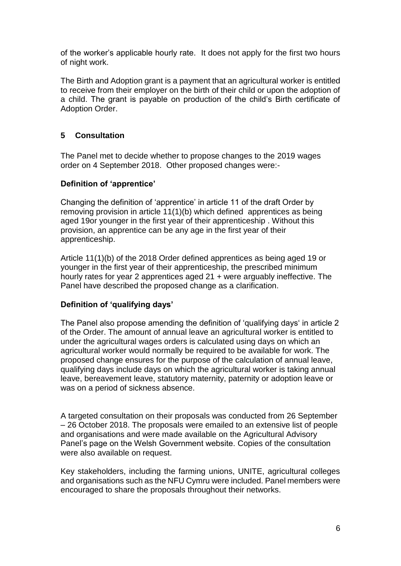of the worker's applicable hourly rate. It does not apply for the first two hours of night work.

The Birth and Adoption grant is a payment that an agricultural worker is entitled to receive from their employer on the birth of their child or upon the adoption of a child. The grant is payable on production of the child's Birth certificate of Adoption Order.

# **5 Consultation**

The Panel met to decide whether to propose changes to the 2019 wages order on 4 September 2018. Other proposed changes were:-

#### **Definition of 'apprentice'**

Changing the definition of 'apprentice' in article 11 of the draft Order by removing provision in article 11(1)(b) which defined apprentices as being aged 19or younger in the first year of their apprenticeship . Without this provision, an apprentice can be any age in the first year of their apprenticeship.

Article 11(1)(b) of the 2018 Order defined apprentices as being aged 19 or younger in the first year of their apprenticeship, the prescribed minimum hourly rates for year 2 apprentices aged 21 + were arguably ineffective. The Panel have described the proposed change as a clarification.

# **Definition of 'qualifying days'**

The Panel also propose amending the definition of 'qualifying days' in article 2 of the Order. The amount of annual leave an agricultural worker is entitled to under the agricultural wages orders is calculated using days on which an agricultural worker would normally be required to be available for work. The proposed change ensures for the purpose of the calculation of annual leave, qualifying days include days on which the agricultural worker is taking annual leave, bereavement leave, statutory maternity, paternity or adoption leave or was on a period of sickness absence.

A targeted consultation on their proposals was conducted from 26 September – 26 October 2018. The proposals were emailed to an extensive list of people and organisations and were made available on the Agricultural Advisory Panel's page on the Welsh Government website. Copies of the consultation were also available on request.

Key stakeholders, including the farming unions, UNITE, agricultural colleges and organisations such as the NFU Cymru were included. Panel members were encouraged to share the proposals throughout their networks.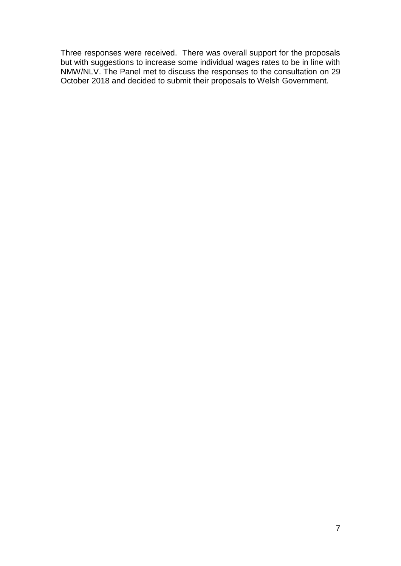Three responses were received. There was overall support for the proposals but with suggestions to increase some individual wages rates to be in line with NMW/NLV. The Panel met to discuss the responses to the consultation on 29 October 2018 and decided to submit their proposals to Welsh Government.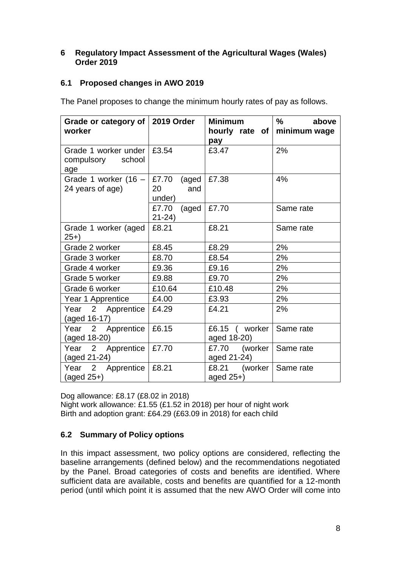#### **6 Regulatory Impact Assessment of the Agricultural Wages (Wales) Order 2019**

# **6.1 Proposed changes in AWO 2019**

The Panel proposes to change the minimum hourly rates of pay as follows.

| Grade or category of 2019 Order<br>worker                |                              | <b>Minimum</b><br>pay                 | $\%$<br>above<br>hourly rate of minimum wage |
|----------------------------------------------------------|------------------------------|---------------------------------------|----------------------------------------------|
| Grade 1 worker under   £3.54<br>compulsory school<br>age |                              | £3.47                                 | 2%                                           |
| Grade 1 worker $(16 -   E7.70$<br>24 years of age)       | (aged<br>20<br>and<br>under) | £7.38                                 | 4%                                           |
|                                                          | £7.70<br>(aged<br>$21 - 24$  | £7.70                                 | Same rate                                    |
| Grade 1 worker (aged<br>25+)                             | £8.21                        | £8.21                                 | Same rate                                    |
| Grade 2 worker                                           | £8.45                        | £8.29                                 | 2%                                           |
| Grade 3 worker                                           | £8.70                        | £8.54                                 | 2%                                           |
| Grade 4 worker                                           | £9.36                        | £9.16                                 | 2%                                           |
| Grade 5 worker                                           | £9.88                        | £9.70                                 | 2%                                           |
| Grade 6 worker                                           | £10.64                       | £10.48                                | 2%                                           |
| Year 1 Apprentice                                        | £4.00                        | £3.93                                 | 2%                                           |
| Year 2 Apprentice<br>(aged 16-17)                        | £4.29                        | £4.21                                 | 2%                                           |
| Year 2 Apprentice<br>(aged 18-20)                        | £6.15                        | £6.15 ( worker $\vert$<br>aged 18-20) | Same rate                                    |
| Year 2 Apprentice<br>(aged 21-24)                        | £7.70                        | £7.70 (worker<br>aged 21-24)          | Same rate                                    |
| Year 2 Apprentice<br>$(\text{aged }25+)$                 | £8.21                        | £8.21 (worker<br>aged 25+)            | Same rate                                    |

Dog allowance: £8.17 (£8.02 in 2018) Night work allowance: £1.55 (£1.52 in 2018) per hour of night work Birth and adoption grant: £64.29 (£63.09 in 2018) for each child

# **6.2 Summary of Policy options**

In this impact assessment, two policy options are considered, reflecting the baseline arrangements (defined below) and the recommendations negotiated by the Panel. Broad categories of costs and benefits are identified. Where sufficient data are available, costs and benefits are quantified for a 12-month period (until which point it is assumed that the new AWO Order will come into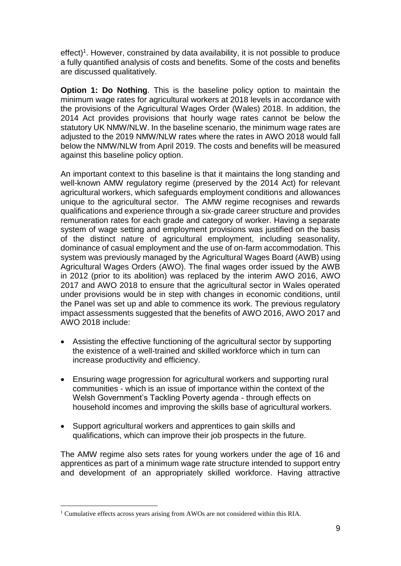effect)<sup>1</sup>. However, constrained by data availability, it is not possible to produce a fully quantified analysis of costs and benefits. Some of the costs and benefits are discussed qualitatively.

**Option 1: Do Nothing**. This is the baseline policy option to maintain the minimum wage rates for agricultural workers at 2018 levels in accordance with the provisions of the Agricultural Wages Order (Wales) 2018. In addition, the 2014 Act provides provisions that hourly wage rates cannot be below the statutory UK NMW/NLW. In the baseline scenario, the minimum wage rates are adjusted to the 2019 NMW/NLW rates where the rates in AWO 2018 would fall below the NMW/NLW from April 2019. The costs and benefits will be measured against this baseline policy option.

An important context to this baseline is that it maintains the long standing and well-known AMW regulatory regime (preserved by the 2014 Act) for relevant agricultural workers, which safeguards employment conditions and allowances unique to the agricultural sector. The AMW regime recognises and rewards qualifications and experience through a six-grade career structure and provides remuneration rates for each grade and category of worker. Having a separate system of wage setting and employment provisions was justified on the basis of the distinct nature of agricultural employment, including seasonality, dominance of casual employment and the use of on-farm accommodation. This system was previously managed by the Agricultural Wages Board (AWB) using Agricultural Wages Orders (AWO). The final wages order issued by the AWB in 2012 (prior to its abolition) was replaced by the interim AWO 2016, AWO 2017 and AWO 2018 to ensure that the agricultural sector in Wales operated under provisions would be in step with changes in economic conditions, until the Panel was set up and able to commence its work. The previous regulatory impact assessments suggested that the benefits of AWO 2016, AWO 2017 and AWO 2018 include:

- Assisting the effective functioning of the agricultural sector by supporting the existence of a well-trained and skilled workforce which in turn can increase productivity and efficiency.
- Ensuring wage progression for agricultural workers and supporting rural communities - which is an issue of importance within the context of the Welsh Government's Tackling Poverty agenda - through effects on household incomes and improving the skills base of agricultural workers.
- Support agricultural workers and apprentices to gain skills and qualifications, which can improve their job prospects in the future.

The AMW regime also sets rates for young workers under the age of 16 and apprentices as part of a minimum wage rate structure intended to support entry and development of an appropriately skilled workforce. Having attractive

1

<sup>&</sup>lt;sup>1</sup> Cumulative effects across years arising from AWOs are not considered within this RIA.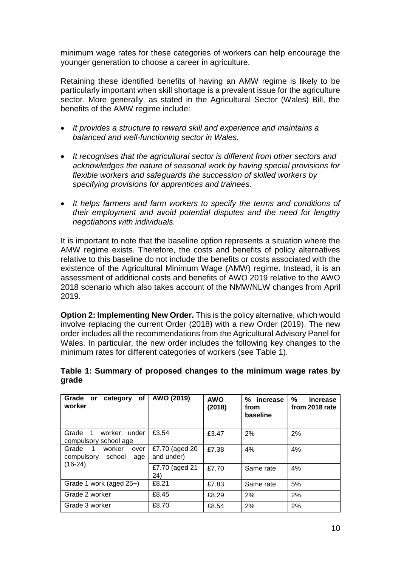minimum wage rates for these categories of workers can help encourage the younger generation to choose a career in agriculture.

Retaining these identified benefits of having an AMW regime is likely to be particularly important when skill shortage is a prevalent issue for the agriculture sector. More generally, as stated in the Agricultural Sector (Wales) Bill, the benefits of the AMW regime include:

- *It provides a structure to reward skill and experience and maintains a balanced and well-functioning sector in Wales.*
- *It recognises that the agricultural sector is different from other sectors and acknowledges the nature of seasonal work by having special provisions for flexible workers and safeguards the succession of skilled workers by specifying provisions for apprentices and trainees.*
- *It helps farmers and farm workers to specify the terms and conditions of their employment and avoid potential disputes and the need for lengthy negotiations with individuals.*

It is important to note that the baseline option represents a situation where the AMW regime exists. Therefore, the costs and benefits of policy alternatives relative to this baseline do not include the benefits or costs associated with the existence of the Agricultural Minimum Wage (AMW) regime. Instead, it is an assessment of additional costs and benefits of AWO 2019 relative to the AWO 2018 scenario which also takes account of the NMW/NLW changes from April 2019.

**Option 2: Implementing New Order.** This is the policy alternative, which would involve replacing the current Order (2018) with a new Order (2019). The new order includes all the recommendations from the Agricultural Advisory Panel for Wales. In particular, the new order includes the following key changes to the minimum rates for different categories of workers (see [Table 1\)](#page-9-0).

| οf<br>Grade or<br>category<br>worker                                     | AWO (2019)                   | <b>AWO</b><br>(2018) | increase<br>%<br>from<br>baseline | %<br>increase<br>from 2018 rate |
|--------------------------------------------------------------------------|------------------------------|----------------------|-----------------------------------|---------------------------------|
| Grade<br>worker<br>under<br>-1<br>compulsory school age                  | £3.54                        | £3.47                | 2%                                | 2%                              |
| worker<br>$\overline{1}$<br>Grade<br>over<br>compulsory<br>school<br>age | £7.70 (aged 20<br>and under) | £7.38                | 4%                                | 4%                              |
| $(16-24)$                                                                | £7.70 (aged 21-<br>24)       | £7.70                | Same rate                         | 4%                              |
| Grade 1 work (aged 25+)                                                  | £8.21                        | £7.83                | Same rate                         | 5%                              |
| Grade 2 worker                                                           | £8.45                        | £8.29                | 2%                                | 2%                              |
| Grade 3 worker                                                           | £8.70                        | £8.54                | 2%                                | 2%                              |

# <span id="page-9-0"></span>**Table 1: Summary of proposed changes to the minimum wage rates by grade**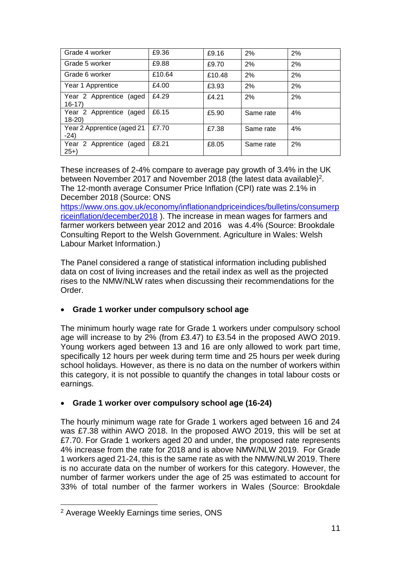| Grade 4 worker                       | £9.36  | £9.16  | 2%        | 2% |
|--------------------------------------|--------|--------|-----------|----|
| Grade 5 worker                       | £9.88  | £9.70  | 2%        | 2% |
| Grade 6 worker                       | £10.64 | £10.48 | 2%        | 2% |
| Year 1 Apprentice                    | £4.00  | £3.93  | 2%        | 2% |
| Year 2 Apprentice (aged<br>$16 - 17$ | £4.29  | £4.21  | 2%        | 2% |
| Year 2 Apprentice (aged<br>$18 - 20$ | £6.15  | £5.90  | Same rate | 4% |
| Year 2 Apprentice (aged 21<br>$-24)$ | £7.70  | £7.38  | Same rate | 4% |
| Year 2 Apprentice (aged<br>$25+$     | £8.21  | £8.05  | Same rate | 2% |

These increases of 2-4% compare to average pay growth of 3.4% in the UK between November 2017 and November 2018 (the latest data available)<sup>2</sup>. The 12-month average Consumer Price Inflation (CPI) rate was 2.1% in December 2018 (Source: ONS

[https://www.ons.gov.uk/economy/inflationandpriceindices/bulletins/consumerp](https://www.ons.gov.uk/economy/inflationandpriceindices/bulletins/consumerpriceinflation/december2018) [riceinflation/december2018](https://www.ons.gov.uk/economy/inflationandpriceindices/bulletins/consumerpriceinflation/december2018) ). The increase in mean wages for farmers and farmer workers between year 2012 and 2016 was 4.4% (Source: Brookdale Consulting Report to the Welsh Government. Agriculture in Wales: Welsh Labour Market Information.)

The Panel considered a range of statistical information including published data on cost of living increases and the retail index as well as the projected rises to the NMW/NLW rates when discussing their recommendations for the Order.

# **Grade 1 worker under compulsory school age**

The minimum hourly wage rate for Grade 1 workers under compulsory school age will increase to by 2% (from £3.47) to £3.54 in the proposed AWO 2019. Young workers aged between 13 and 16 are only allowed to work part time, specifically 12 hours per week during term time and 25 hours per week during school holidays. However, as there is no data on the number of workers within this category, it is not possible to quantify the changes in total labour costs or earnings.

# **Grade 1 worker over compulsory school age (16-24)**

The hourly minimum wage rate for Grade 1 workers aged between 16 and 24 was £7.38 within AWO 2018. In the proposed AWO 2019, this will be set at £7.70. For Grade 1 workers aged 20 and under, the proposed rate represents 4% increase from the rate for 2018 and is above NMW/NLW 2019. For Grade 1 workers aged 21-24, this is the same rate as with the NMW/NLW 2019. There is no accurate data on the number of workers for this category. However, the number of farmer workers under the age of 25 was estimated to account for 33% of total number of the farmer workers in Wales (Source: Brookdale

<sup>&</sup>lt;u>.</u> <sup>2</sup> Average Weekly Earnings time series, ONS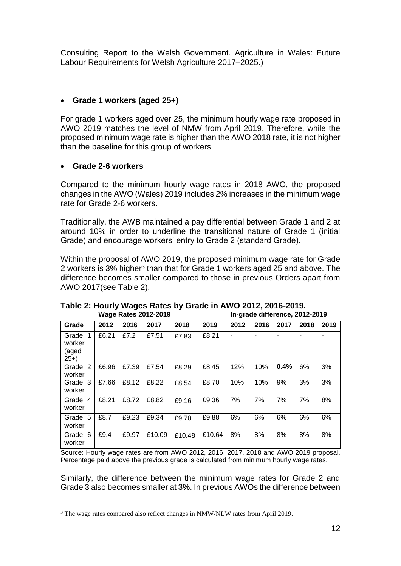Consulting Report to the Welsh Government. Agriculture in Wales: Future Labour Requirements for Welsh Agriculture 2017–2025.)

# **Grade 1 workers (aged 25+)**

For grade 1 workers aged over 25, the minimum hourly wage rate proposed in AWO 2019 matches the level of NMW from April 2019. Therefore, while the proposed minimum wage rate is higher than the AWO 2018 rate, it is not higher than the baseline for this group of workers

#### **Grade 2-6 workers**

1

Compared to the minimum hourly wage rates in 2018 AWO, the proposed changes in the AWO (Wales) 2019 includes 2% increases in the minimum wage rate for Grade 2-6 workers.

Traditionally, the AWB maintained a pay differential between Grade 1 and 2 at around 10% in order to underline the transitional nature of Grade 1 (initial Grade) and encourage workers' entry to Grade 2 (standard Grade).

Within the proposal of AWO 2019, the proposed minimum wage rate for Grade 2 workers is 3% higher<sup>3</sup> than that for Grade 1 workers aged 25 and above. The difference becomes smaller compared to those in previous Orders apart from AWO 2017(see [Table 2\)](#page-11-0).

| <b>Wage Rates 2012-2019</b>                      |       |       |        |        |        | In-grade difference, 2012-2019 |      |      |      |      |
|--------------------------------------------------|-------|-------|--------|--------|--------|--------------------------------|------|------|------|------|
| Grade                                            | 2012  | 2016  | 2017   | 2018   | 2019   | 2012                           | 2016 | 2017 | 2018 | 2019 |
| $\mathbf 1$<br>Grade<br>worker<br>(aged<br>$25+$ | £6.21 | £7.2  | £7.51  | £7.83  | £8.21  | $\overline{\phantom{0}}$       |      |      |      |      |
| 2<br>Grade<br>worker                             | £6.96 | £7.39 | £7.54  | £8.29  | £8.45  | 12%                            | 10%  | 0.4% | 6%   | 3%   |
| Grade 3<br>worker                                | £7.66 | £8.12 | £8.22  | £8.54  | £8.70  | 10%                            | 10%  | 9%   | 3%   | 3%   |
| Grade<br>$\overline{4}$<br>worker                | £8.21 | £8.72 | £8.82  | £9.16  | £9.36  | 7%                             | 7%   | 7%   | 7%   | 8%   |
| Grade 5<br>worker                                | £8.7  | £9.23 | £9.34  | £9.70  | £9.88  | 6%                             | 6%   | 6%   | 6%   | 6%   |
| Grade 6<br>worker                                | £9.4  | £9.97 | £10.09 | £10.48 | £10.64 | 8%                             | 8%   | 8%   | 8%   | 8%   |

# <span id="page-11-0"></span>**Table 2: Hourly Wages Rates by Grade in AWO 2012, 2016-2019.**

Source: Hourly wage rates are from AWO 2012, 2016, 2017, 2018 and AWO 2019 proposal. Percentage paid above the previous grade is calculated from minimum hourly wage rates.

Similarly, the difference between the minimum wage rates for Grade 2 and Grade 3 also becomes smaller at 3%. In previous AWOs the difference between

<sup>&</sup>lt;sup>3</sup> The wage rates compared also reflect changes in NMW/NLW rates from April 2019.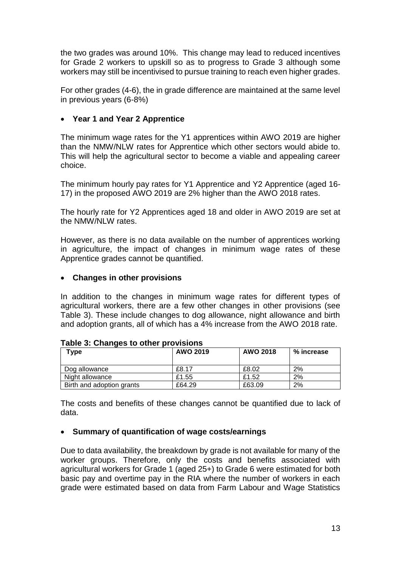the two grades was around 10%. This change may lead to reduced incentives for Grade 2 workers to upskill so as to progress to Grade 3 although some workers may still be incentivised to pursue training to reach even higher grades.

For other grades (4-6), the in grade difference are maintained at the same level in previous years (6-8%)

#### **Year 1 and Year 2 Apprentice**

The minimum wage rates for the Y1 apprentices within AWO 2019 are higher than the NMW/NLW rates for Apprentice which other sectors would abide to. This will help the agricultural sector to become a viable and appealing career choice.

The minimum hourly pay rates for Y1 Apprentice and Y2 Apprentice (aged 16- 17) in the proposed AWO 2019 are 2% higher than the AWO 2018 rates.

The hourly rate for Y2 Apprentices aged 18 and older in AWO 2019 are set at the NMW/NLW rates.

However, as there is no data available on the number of apprentices working in agriculture, the impact of changes in minimum wage rates of these Apprentice grades cannot be quantified.

#### **Changes in other provisions**

In addition to the changes in minimum wage rates for different types of agricultural workers, there are a few other changes in other provisions (see [Table 3\)](#page-12-0). These include changes to dog allowance, night allowance and birth and adoption grants, all of which has a 4% increase from the AWO 2018 rate.

| Type                      | AWO 2019 | <b>AWO 2018</b> | % increase |
|---------------------------|----------|-----------------|------------|
| Dog allowance             | £8.17    | £8.02           | 2%         |
| Night allowance           | £1.55    | £1.52           | 2%         |
| Birth and adoption grants | £64.29   | £63.09          | 2%         |

#### <span id="page-12-0"></span>**Table 3: Changes to other provisions**

The costs and benefits of these changes cannot be quantified due to lack of data.

#### **Summary of quantification of wage costs/earnings**

Due to data availability, the breakdown by grade is not available for many of the worker groups. Therefore, only the costs and benefits associated with agricultural workers for Grade 1 (aged 25+) to Grade 6 were estimated for both basic pay and overtime pay in the RIA where the number of workers in each grade were estimated based on data from Farm Labour and Wage Statistics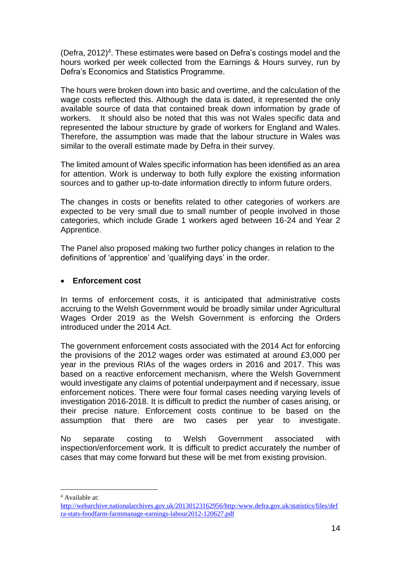(Defra, 2012)<sup>4</sup>. These estimates were based on Defra's costings model and the hours worked per week collected from the Earnings & Hours survey, run by Defra's Economics and Statistics Programme.

The hours were broken down into basic and overtime, and the calculation of the wage costs reflected this. Although the data is dated, it represented the only available source of data that contained break down information by grade of workers. It should also be noted that this was not Wales specific data and represented the labour structure by grade of workers for England and Wales. Therefore, the assumption was made that the labour structure in Wales was similar to the overall estimate made by Defra in their survey.

The limited amount of Wales specific information has been identified as an area for attention. Work is underway to both fully explore the existing information sources and to gather up-to-date information directly to inform future orders.

The changes in costs or benefits related to other categories of workers are expected to be very small due to small number of people involved in those categories, which include Grade 1 workers aged between 16-24 and Year 2 Apprentice.

The Panel also proposed making two further policy changes in relation to the definitions of 'apprentice' and 'qualifying days' in the order.

#### **Enforcement cost**

In terms of enforcement costs, it is anticipated that administrative costs accruing to the Welsh Government would be broadly similar under Agricultural Wages Order 2019 as the Welsh Government is enforcing the Orders introduced under the 2014 Act.

The government enforcement costs associated with the 2014 Act for enforcing the provisions of the 2012 wages order was estimated at around £3,000 per year in the previous RIAs of the wages orders in 2016 and 2017. This was based on a reactive enforcement mechanism, where the Welsh Government would investigate any claims of potential underpayment and if necessary, issue enforcement notices. There were four formal cases needing varying levels of investigation 2016-2018. It is difficult to predict the number of cases arising, or their precise nature. Enforcement costs continue to be based on the assumption that there are two cases per year to investigate.

No separate costing to Welsh Government associated with inspection/enforcement work. It is difficult to predict accurately the number of cases that may come forward but these will be met from existing provision.

1

<sup>4</sup> Available at:

[http://webarchive.nationalarchives.gov.uk/20130123162956/http:/www.defra.gov.uk/statistics/files/def](http://webarchive.nationalarchives.gov.uk/20130123162956/http:/www.defra.gov.uk/statistics/files/defra-stats-foodfarm-farmmanage-earnings-labour2012-120627.pdf) [ra-stats-foodfarm-farmmanage-earnings-labour2012-120627.pdf](http://webarchive.nationalarchives.gov.uk/20130123162956/http:/www.defra.gov.uk/statistics/files/defra-stats-foodfarm-farmmanage-earnings-labour2012-120627.pdf)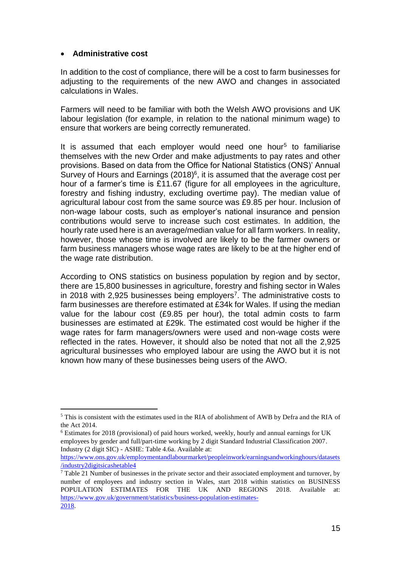#### **Administrative cost**

1

In addition to the cost of compliance, there will be a cost to farm businesses for adjusting to the requirements of the new AWO and changes in associated calculations in Wales.

Farmers will need to be familiar with both the Welsh AWO provisions and UK labour legislation (for example, in relation to the national minimum wage) to ensure that workers are being correctly remunerated.

It is assumed that each employer would need one hour<sup>5</sup> to familiarise themselves with the new Order and make adjustments to pay rates and other provisions. Based on data from the Office for National Statistics (ONS)' Annual Survey of Hours and Earnings (2018)<sup>6</sup>, it is assumed that the average cost per hour of a farmer's time is £11.67 (figure for all employees in the agriculture, forestry and fishing industry, excluding overtime pay). The median value of agricultural labour cost from the same source was £9.85 per hour. Inclusion of non-wage labour costs, such as employer's national insurance and pension contributions would serve to increase such cost estimates. In addition, the hourly rate used here is an average/median value for all farm workers. In reality, however, those whose time is involved are likely to be the farmer owners or farm business managers whose wage rates are likely to be at the higher end of the wage rate distribution.

According to ONS statistics on business population by region and by sector, there are 15,800 businesses in agriculture, forestry and fishing sector in Wales in 2018 with 2,925 businesses being employers<sup>7</sup>. The administrative costs to farm businesses are therefore estimated at £34k for Wales. If using the median value for the labour cost (£9.85 per hour), the total admin costs to farm businesses are estimated at £29k. The estimated cost would be higher if the wage rates for farm managers/owners were used and non-wage costs were reflected in the rates. However, it should also be noted that not all the 2,925 agricultural businesses who employed labour are using the AWO but it is not known how many of these businesses being users of the AWO.

<sup>6</sup> Estimates for 2018 (provisional) of paid hours worked, weekly, hourly and annual earnings for UK employees by gender and full/part-time working by 2 digit Standard Industrial Classification 2007. Industry (2 digit SIC) - ASHE: Table 4.6a. Available at:

<sup>5</sup> This is consistent with the estimates used in the RIA of abolishment of AWB by Defra and the RIA of the Act 2014.

[https://www.ons.gov.uk/employmentandlabourmarket/peopleinwork/earningsandworkinghours/datasets](https://www.ons.gov.uk/employmentandlabourmarket/peopleinwork/earningsandworkinghours/datasets/industry2digitsicashetable4) [/industry2digitsicashetable4](https://www.ons.gov.uk/employmentandlabourmarket/peopleinwork/earningsandworkinghours/datasets/industry2digitsicashetable4)

 $<sup>7</sup>$  Table 21 Number of businesses in the private sector and their associated employment and turnover, by</sup> number of employees and industry section in Wales, start 2018 within statistics on BUSINESS POPULATION ESTIMATES FOR THE UK AND REGIONS 2018. Available at: https://www.gov.uk/government/statistics/business-population-estimates-2018.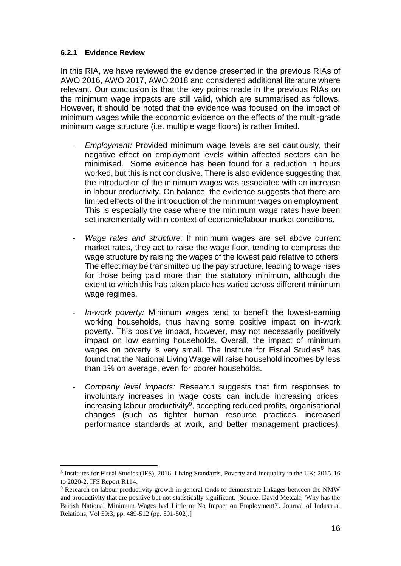#### **6.2.1 Evidence Review**

1

In this RIA, we have reviewed the evidence presented in the previous RIAs of AWO 2016, AWO 2017, AWO 2018 and considered additional literature where relevant. Our conclusion is that the key points made in the previous RIAs on the minimum wage impacts are still valid, which are summarised as follows. However, it should be noted that the evidence was focused on the impact of minimum wages while the economic evidence on the effects of the multi-grade minimum wage structure (i.e. multiple wage floors) is rather limited.

- *Employment:* Provided minimum wage levels are set cautiously, their negative effect on employment levels within affected sectors can be minimised. Some evidence has been found for a reduction in hours worked, but this is not conclusive. There is also evidence suggesting that the introduction of the minimum wages was associated with an increase in labour productivity. On balance, the evidence suggests that there are limited effects of the introduction of the minimum wages on employment. This is especially the case where the minimum wage rates have been set incrementally within context of economic/labour market conditions.
- *Wage rates and structure:* If minimum wages are set above current market rates, they act to raise the wage floor, tending to compress the wage structure by raising the wages of the lowest paid relative to others. The effect may be transmitted up the pay structure, leading to wage rises for those being paid more than the statutory minimum, although the extent to which this has taken place has varied across different minimum wage regimes.
- *In-work poverty:* Minimum wages tend to benefit the lowest-earning working households, thus having some positive impact on in-work poverty. This positive impact, however, may not necessarily positively impact on low earning households. Overall, the impact of minimum wages on poverty is very small. The Institute for Fiscal Studies<sup>8</sup> has found that the National Living Wage will raise household incomes by less than 1% on average, even for poorer households.
- *Company level impacts:* Research suggests that firm responses to involuntary increases in wage costs can include increasing prices, increasing labour productivity<sup>9</sup>, accepting reduced profits, organisational changes (such as tighter human resource practices, increased performance standards at work, and better management practices),

<sup>8</sup> Institutes for Fiscal Studies (IFS), 2016. Living Standards, Poverty and Inequality in the UK: 2015-16 to 2020-2. IFS Report R114.

<sup>9</sup> Research on labour productivity growth in general tends to demonstrate linkages between the NMW and productivity that are positive but not statistically significant. [Source: David Metcalf, 'Why has the British National Minimum Wages had Little or No Impact on Employment?'. Journal of Industrial Relations, Vol 50:3, pp. 489-512 (pp. 501-502).]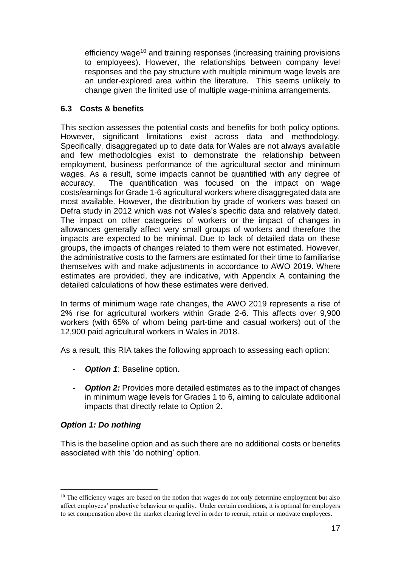efficiency wage<sup>10</sup> and training responses (increasing training provisions to employees). However, the relationships between company level responses and the pay structure with multiple minimum wage levels are an under-explored area within the literature. This seems unlikely to change given the limited use of multiple wage-minima arrangements.

# **6.3 Costs & benefits**

This section assesses the potential costs and benefits for both policy options. However, significant limitations exist across data and methodology. Specifically, disaggregated up to date data for Wales are not always available and few methodologies exist to demonstrate the relationship between employment, business performance of the agricultural sector and minimum wages. As a result, some impacts cannot be quantified with any degree of accuracy. The quantification was focused on the impact on wage costs/earnings for Grade 1-6 agricultural workers where disaggregated data are most available. However, the distribution by grade of workers was based on Defra study in 2012 which was not Wales's specific data and relatively dated. The impact on other categories of workers or the impact of changes in allowances generally affect very small groups of workers and therefore the impacts are expected to be minimal. Due to lack of detailed data on these groups, the impacts of changes related to them were not estimated. However, the administrative costs to the farmers are estimated for their time to familiarise themselves with and make adjustments in accordance to AWO 2019. Where estimates are provided, they are indicative, with Appendix A containing the detailed calculations of how these estimates were derived.

In terms of minimum wage rate changes, the AWO 2019 represents a rise of 2% rise for agricultural workers within Grade 2-6. This affects over 9,900 workers (with 65% of whom being part-time and casual workers) out of the 12,900 paid agricultural workers in Wales in 2018.

As a result, this RIA takes the following approach to assessing each option:

- *Option 1*: Baseline option.
- *Option 2:* Provides more detailed estimates as to the impact of changes in minimum wage levels for Grades 1 to 6, aiming to calculate additional impacts that directly relate to Option 2.

# *Option 1: Do nothing*

1

This is the baseline option and as such there are no additional costs or benefits associated with this 'do nothing' option.

 $10$  The efficiency wages are based on the notion that wages do not only determine employment but also affect employees' productive behaviour or quality. Under certain conditions, it is optimal for employers to set compensation above the market clearing level in order to recruit, retain or motivate employees.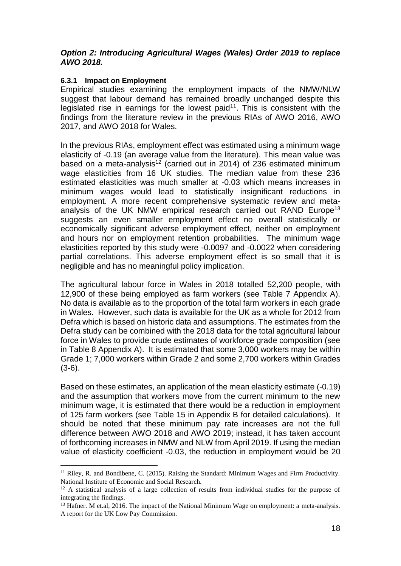#### *Option 2: Introducing Agricultural Wages (Wales) Order 2019 to replace AWO 2018.*

#### **6.3.1 Impact on Employment**

1

Empirical studies examining the employment impacts of the NMW/NLW suggest that labour demand has remained broadly unchanged despite this legislated rise in earnings for the lowest paid<sup>11</sup>. This is consistent with the findings from the literature review in the previous RIAs of AWO 2016, AWO 2017, and AWO 2018 for Wales.

In the previous RIAs, employment effect was estimated using a minimum wage elasticity of -0.19 (an average value from the literature). This mean value was based on a meta-analysis<sup>12</sup> (carried out in 2014) of 236 estimated minimum wage elasticities from 16 UK studies. The median value from these 236 estimated elasticities was much smaller at -0.03 which means increases in minimum wages would lead to statistically insignificant reductions in employment. A more recent comprehensive systematic review and metaanalysis of the UK NMW empirical research carried out RAND Europe<sup>13</sup> suggests an even smaller employment effect no overall statistically or economically significant adverse employment effect, neither on employment and hours nor on employment retention probabilities. The minimum wage elasticities reported by this study were -0.0097 and -0.0022 when considering partial correlations. This adverse employment effect is so small that it is negligible and has no meaningful policy implication.

The agricultural labour force in Wales in 2018 totalled 52,200 people, with 12,900 of these being employed as farm workers (see [Table 7](#page-30-0) Appendix A). No data is available as to the proportion of the total farm workers in each grade in Wales. However, such data is available for the UK as a whole for 2012 from Defra which is based on historic data and assumptions. The estimates from the Defra study can be combined with the 2018 data for the total agricultural labour force in Wales to provide crude estimates of workforce grade composition (see in [Table 8](#page-30-1) Appendix A). It is estimated that some 3,000 workers may be within Grade 1; 7,000 workers within Grade 2 and some 2,700 workers within Grades (3-6).

Based on these estimates, an application of the mean elasticity estimate (-0.19) and the assumption that workers move from the current minimum to the new minimum wage, it is estimated that there would be a reduction in employment of 125 farm workers (see [Table 15](#page-34-0) in Appendix B for detailed calculations). It should be noted that these minimum pay rate increases are not the full difference between AWO 2018 and AWO 2019; instead, it has taken account of forthcoming increases in NMW and NLW from April 2019. If using the median value of elasticity coefficient -0.03, the reduction in employment would be 20

 $11$  Riley, R. and Bondibene, C. (2015). Raising the Standard: Minimum Wages and Firm Productivity. National Institute of Economic and Social Research.

 $12$  A statistical analysis of a large collection of results from individual studies for the purpose of integrating the findings.

<sup>&</sup>lt;sup>13</sup> Hafner. M et.al, 2016. The impact of the National Minimum Wage on employment: a meta-analysis. A report for the UK Low Pay Commission.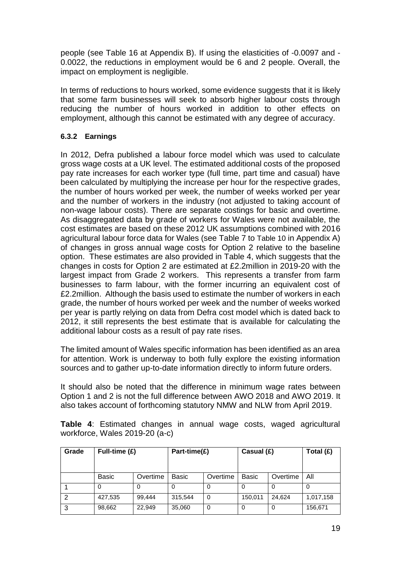people (see [Table 16](#page-34-1) at Appendix B). If using the elasticities of -0.0097 and - 0.0022, the reductions in employment would be 6 and 2 people. Overall, the impact on employment is negligible.

In terms of reductions to hours worked, some evidence suggests that it is likely that some farm businesses will seek to absorb higher labour costs through reducing the number of hours worked in addition to other effects on employment, although this cannot be estimated with any degree of accuracy.

# **6.3.2 Earnings**

In 2012, Defra published a labour force model which was used to calculate gross wage costs at a UK level. The estimated additional costs of the proposed pay rate increases for each worker type (full time, part time and casual) have been calculated by multiplying the increase per hour for the respective grades, the number of hours worked per week, the number of weeks worked per year and the number of workers in the industry (not adjusted to taking account of non-wage labour costs). There are separate costings for basic and overtime. As disaggregated data by grade of workers for Wales were not available, the cost estimates are based on these 2012 UK assumptions combined with 2016 agricultural labour force data for Wales (see [Table 7](#page-30-0) to [Table 10](#page-31-0) in Appendix A) of changes in gross annual wage costs for Option 2 relative to the baseline option. These estimates are also provided in [Table 4,](#page-18-0) which suggests that the changes in costs for Option 2 are estimated at £2.2million in 2019-20 with the largest impact from Grade 2 workers. This represents a transfer from farm businesses to farm labour, with the former incurring an equivalent cost of £2.2million. Although the basis used to estimate the number of workers in each grade, the number of hours worked per week and the number of weeks worked per year is partly relying on data from Defra cost model which is dated back to 2012, it still represents the best estimate that is available for calculating the additional labour costs as a result of pay rate rises.

The limited amount of Wales specific information has been identified as an area for attention. Work is underway to both fully explore the existing information sources and to gather up-to-date information directly to inform future orders.

It should also be noted that the difference in minimum wage rates between Option 1 and 2 is not the full difference between AWO 2018 and AWO 2019. It also takes account of forthcoming statutory NMW and NLW from April 2019.

| Grade | Full-time (£) |          | Part-time(£) |          | Casual $(E)$ |          | Total (£) |
|-------|---------------|----------|--------------|----------|--------------|----------|-----------|
|       |               |          |              |          |              |          |           |
|       | <b>Basic</b>  | Overtime | Basic        | Overtime | Basic        | Overtime | All       |
|       | 0             |          | 0            | 0        |              |          | 0         |
| 2     | 427,535       | 99.444   | 315.544      | $\Omega$ | 150,011      | 24.624   | 1,017,158 |
| 3     | 98,662        | 22.949   | 35,060       | $\Omega$ | $\Omega$     |          | 156,671   |

<span id="page-18-0"></span>**Table 4**: Estimated changes in annual wage costs, waged agricultural workforce, Wales 2019-20 (a-c)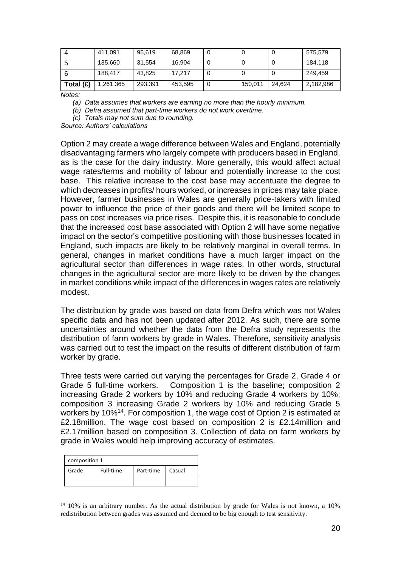|           | 411.091   | 95,619  | 68,869  | U |         |        | 575,579   |
|-----------|-----------|---------|---------|---|---------|--------|-----------|
|           | 135,660   | 31.554  | 16,904  |   |         |        | 184,118   |
|           | 188.417   | 43.825  | 17.217  |   |         |        | 249,459   |
| Total (£) | 1,261,365 | 293,391 | 453,595 | υ | 150,011 | 24.624 | 2,182,986 |

*Notes:*

*(a) Data assumes that workers are earning no more than the hourly minimum.*

*(b) Defra assumed that part-time workers do not work overtime.*

*(c) Totals may not sum due to rounding.*

*Source: Authors' calculations* 

Option 2 may create a wage difference between Wales and England, potentially disadvantaging farmers who largely compete with producers based in England, as is the case for the dairy industry. More generally, this would affect actual wage rates/terms and mobility of labour and potentially increase to the cost base. This relative increase to the cost base may accentuate the degree to which decreases in profits/ hours worked, or increases in prices may take place. However, farmer businesses in Wales are generally price-takers with limited power to influence the price of their goods and there will be limited scope to pass on cost increases via price rises. Despite this, it is reasonable to conclude that the increased cost base associated with Option 2 will have some negative impact on the sector's competitive positioning with those businesses located in England, such impacts are likely to be relatively marginal in overall terms. In general, changes in market conditions have a much larger impact on the agricultural sector than differences in wage rates. In other words, structural changes in the agricultural sector are more likely to be driven by the changes in market conditions while impact of the differences in wages rates are relatively modest.

The distribution by grade was based on data from Defra which was not Wales specific data and has not been updated after 2012. As such, there are some uncertainties around whether the data from the Defra study represents the distribution of farm workers by grade in Wales. Therefore, sensitivity analysis was carried out to test the impact on the results of different distribution of farm worker by grade.

Three tests were carried out varying the percentages for Grade 2, Grade 4 or Grade 5 full-time workers. Composition 1 is the baseline; composition 2 increasing Grade 2 workers by 10% and reducing Grade 4 workers by 10%; composition 3 increasing Grade 2 workers by 10% and reducing Grade 5 workers by 10%<sup>14</sup>. For composition 1, the wage cost of Option 2 is estimated at £2.18million. The wage cost based on composition 2 is £2.14million and £2.17million based on composition 3. Collection of data on farm workers by grade in Wales would help improving accuracy of estimates.

| composition 1 |                                  |  |  |  |  |
|---------------|----------------------------------|--|--|--|--|
| Grade         | Full-time<br>Part-time<br>Casual |  |  |  |  |
|               |                                  |  |  |  |  |

1

 $14$  10% is an arbitrary number. As the actual distribution by grade for Wales is not known, a 10% redistribution between grades was assumed and deemed to be big enough to test sensitivity.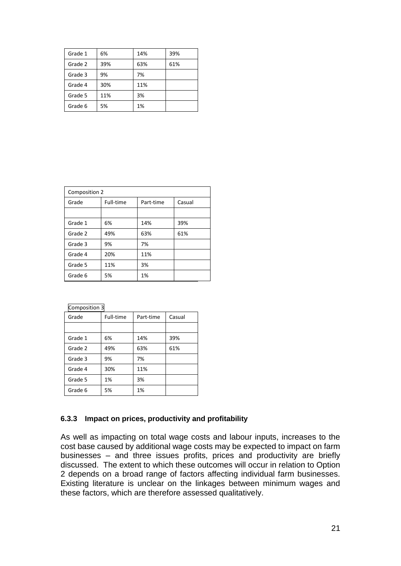| Grade 1 | 6%  | 14% | 39% |
|---------|-----|-----|-----|
| Grade 2 | 39% | 63% | 61% |
| Grade 3 | 9%  | 7%  |     |
| Grade 4 | 30% | 11% |     |
| Grade 5 | 11% | 3%  |     |
| Grade 6 | 5%  | 1%  |     |

| Composition 2 |           |           |        |  |  |
|---------------|-----------|-----------|--------|--|--|
| Grade         | Full-time | Part-time | Casual |  |  |
|               |           |           |        |  |  |
| Grade 1       | 6%        | 14%       | 39%    |  |  |
| Grade 2       | 49%       | 63%       | 61%    |  |  |
| Grade 3       | 9%        | 7%        |        |  |  |
| Grade 4       | 20%       | 11%       |        |  |  |
| Grade 5       | 11%       | 3%        |        |  |  |
| Grade 6       | 5%        | 1%        |        |  |  |

| Composition 3 |           |           |        |  |  |
|---------------|-----------|-----------|--------|--|--|
| Grade         | Full-time | Part-time | Casual |  |  |
|               |           |           |        |  |  |
| Grade 1       | 6%        | 14%       | 39%    |  |  |
| Grade 2       | 49%       | 63%       | 61%    |  |  |
| Grade 3       | 9%        | 7%        |        |  |  |
| Grade 4       | 30%       | 11%       |        |  |  |
| Grade 5       | 1%        | 3%        |        |  |  |
| Grade 6       | 5%        | 1%        |        |  |  |

#### **6.3.3 Impact on prices, productivity and profitability**

As well as impacting on total wage costs and labour inputs, increases to the cost base caused by additional wage costs may be expected to impact on farm businesses – and three issues profits, prices and productivity are briefly discussed. The extent to which these outcomes will occur in relation to Option 2 depends on a broad range of factors affecting individual farm businesses. Existing literature is unclear on the linkages between minimum wages and these factors, which are therefore assessed qualitatively.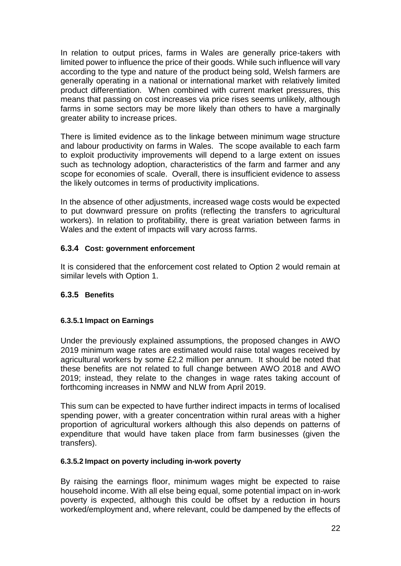In relation to output prices, farms in Wales are generally price-takers with limited power to influence the price of their goods. While such influence will vary according to the type and nature of the product being sold, Welsh farmers are generally operating in a national or international market with relatively limited product differentiation. When combined with current market pressures, this means that passing on cost increases via price rises seems unlikely, although farms in some sectors may be more likely than others to have a marginally greater ability to increase prices.

There is limited evidence as to the linkage between minimum wage structure and labour productivity on farms in Wales. The scope available to each farm to exploit productivity improvements will depend to a large extent on issues such as technology adoption, characteristics of the farm and farmer and any scope for economies of scale. Overall, there is insufficient evidence to assess the likely outcomes in terms of productivity implications.

In the absence of other adjustments, increased wage costs would be expected to put downward pressure on profits (reflecting the transfers to agricultural workers). In relation to profitability, there is great variation between farms in Wales and the extent of impacts will vary across farms.

#### **6.3.4 Cost: government enforcement**

It is considered that the enforcement cost related to Option 2 would remain at similar levels with Option 1.

#### **6.3.5 Benefits**

#### **6.3.5.1 Impact on Earnings**

Under the previously explained assumptions, the proposed changes in AWO 2019 minimum wage rates are estimated would raise total wages received by agricultural workers by some £2.2 million per annum. It should be noted that these benefits are not related to full change between AWO 2018 and AWO 2019; instead, they relate to the changes in wage rates taking account of forthcoming increases in NMW and NLW from April 2019.

This sum can be expected to have further indirect impacts in terms of localised spending power, with a greater concentration within rural areas with a higher proportion of agricultural workers although this also depends on patterns of expenditure that would have taken place from farm businesses (given the transfers).

#### **6.3.5.2 Impact on poverty including in-work poverty**

By raising the earnings floor, minimum wages might be expected to raise household income. With all else being equal, some potential impact on in-work poverty is expected, although this could be offset by a reduction in hours worked/employment and, where relevant, could be dampened by the effects of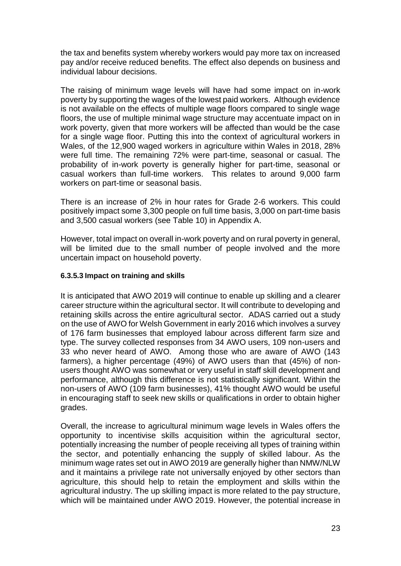the tax and benefits system whereby workers would pay more tax on increased pay and/or receive reduced benefits. The effect also depends on business and individual labour decisions.

The raising of minimum wage levels will have had some impact on in-work poverty by supporting the wages of the lowest paid workers. Although evidence is not available on the effects of multiple wage floors compared to single wage floors, the use of multiple minimal wage structure may accentuate impact on in work poverty, given that more workers will be affected than would be the case for a single wage floor. Putting this into the context of agricultural workers in Wales, of the 12,900 waged workers in agriculture within Wales in 2018, 28% were full time. The remaining 72% were part-time, seasonal or casual. The probability of in-work poverty is generally higher for part-time, seasonal or casual workers than full-time workers. This relates to around 9,000 farm workers on part-time or seasonal basis.

There is an increase of 2% in hour rates for Grade 2-6 workers. This could positively impact some 3,300 people on full time basis, 3,000 on part-time basis and 3,500 casual workers (see [Table 10\)](#page-31-0) in Appendix A.

However, total impact on overall in-work poverty and on rural poverty in general, will be limited due to the small number of people involved and the more uncertain impact on household poverty.

#### **6.3.5.3 Impact on training and skills**

It is anticipated that AWO 2019 will continue to enable up skilling and a clearer career structure within the agricultural sector. It will contribute to developing and retaining skills across the entire agricultural sector. ADAS carried out a study on the use of AWO for Welsh Government in early 2016 which involves a survey of 176 farm businesses that employed labour across different farm size and type. The survey collected responses from 34 AWO users, 109 non-users and 33 who never heard of AWO. Among those who are aware of AWO (143 farmers), a higher percentage (49%) of AWO users than that (45%) of nonusers thought AWO was somewhat or very useful in staff skill development and performance, although this difference is not statistically significant. Within the non-users of AWO (109 farm businesses), 41% thought AWO would be useful in encouraging staff to seek new skills or qualifications in order to obtain higher grades.

Overall, the increase to agricultural minimum wage levels in Wales offers the opportunity to incentivise skills acquisition within the agricultural sector, potentially increasing the number of people receiving all types of training within the sector, and potentially enhancing the supply of skilled labour. As the minimum wage rates set out in AWO 2019 are generally higher than NMW/NLW and it maintains a privilege rate not universally enjoyed by other sectors than agriculture, this should help to retain the employment and skills within the agricultural industry. The up skilling impact is more related to the pay structure, which will be maintained under AWO 2019. However, the potential increase in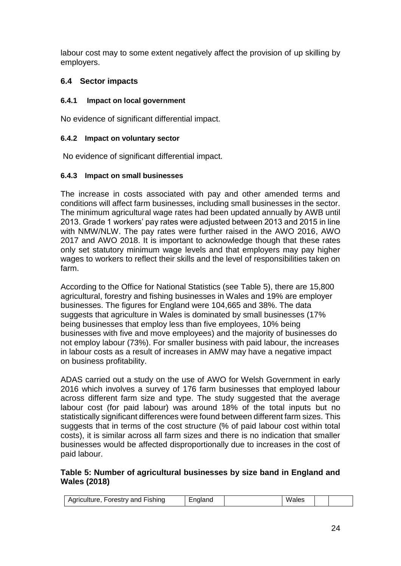labour cost may to some extent negatively affect the provision of up skilling by employers.

# **6.4 Sector impacts**

#### **6.4.1 Impact on local government**

No evidence of significant differential impact.

#### **6.4.2 Impact on voluntary sector**

No evidence of significant differential impact.

#### **6.4.3 Impact on small businesses**

The increase in costs associated with pay and other amended terms and conditions will affect farm businesses, including small businesses in the sector. The minimum agricultural wage rates had been updated annually by AWB until 2013. Grade 1 workers' pay rates were adjusted between 2013 and 2015 in line with NMW/NLW. The pay rates were further raised in the AWO 2016, AWO 2017 and AWO 2018. It is important to acknowledge though that these rates only set statutory minimum wage levels and that employers may pay higher wages to workers to reflect their skills and the level of responsibilities taken on farm.

According to the Office for National Statistics (see [Table 5\)](#page-23-0), there are 15,800 agricultural, forestry and fishing businesses in Wales and 19% are employer businesses. The figures for England were 104,665 and 38%. The data suggests that agriculture in Wales is dominated by small businesses (17% being businesses that employ less than five employees, 10% being businesses with five and move employees) and the majority of businesses do not employ labour (73%). For smaller business with paid labour, the increases in labour costs as a result of increases in AMW may have a negative impact on business profitability.

ADAS carried out a study on the use of AWO for Welsh Government in early 2016 which involves a survey of 176 farm businesses that employed labour across different farm size and type. The study suggested that the average labour cost (for paid labour) was around 18% of the total inputs but no statistically significant differences were found between different farm sizes. This suggests that in terms of the cost structure (% of paid labour cost within total costs), it is similar across all farm sizes and there is no indication that smaller businesses would be affected disproportionally due to increases in the cost of paid labour.

#### <span id="page-23-0"></span>**Table 5: Number of agricultural businesses by size band in England and Wales (2018)**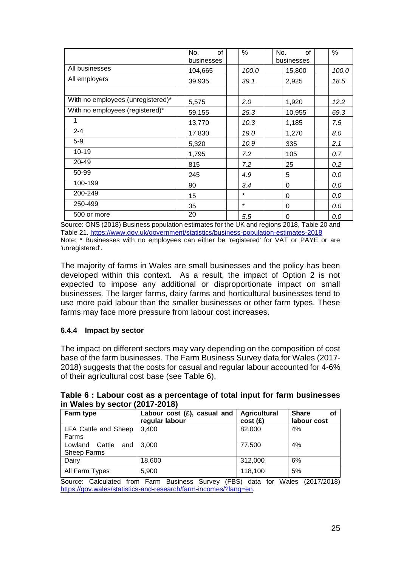|                                   | No.<br>οf<br>businesses | $\frac{0}{0}$ | 0f<br>No.<br>businesses | %     |
|-----------------------------------|-------------------------|---------------|-------------------------|-------|
| All businesses                    | 104,665                 | 100.0         | 15,800                  | 100.0 |
| All employers                     | 39,935                  | 39.1          | 2,925                   | 18.5  |
|                                   |                         |               |                         |       |
| With no employees (unregistered)* | 5,575                   | 2.0           | 1,920                   | 12.2  |
| With no employees (registered)*   | 59,155                  | 25.3          | 10,955                  | 69.3  |
| 1                                 | 13,770                  | 10.3          | 1,185                   | 7.5   |
| $2 - 4$                           | 17,830                  | 19.0          | 1,270                   | 8.0   |
| $5-9$                             | 5,320                   | 10.9          | 335                     | 2.1   |
| $10 - 19$                         | 1,795                   | 7.2           | 105                     | 0.7   |
| 20-49                             | 815                     | 7.2           | 25                      | 0.2   |
| 50-99                             | 245                     | 4.9           | 5                       | 0.0   |
| 100-199                           | 90                      | 3.4           | 0                       | 0.0   |
| 200-249                           | 15                      | $\star$       | $\Omega$                | 0.0   |
| 250-499                           | 35                      | $\star$       | 0                       | 0.0   |
| 500 or more                       | 20                      | 5.5           | 0                       | 0.0   |

Source: ONS (2018) Business population estimates for the UK and regions 2018, Table 20 and Table 21. <https://www.gov.uk/government/statistics/business-population-estimates-2018> Note: \* Businesses with no employees can either be 'registered' for VAT or PAYE or are 'unregistered'.

The majority of farms in Wales are small businesses and the policy has been developed within this context. As a result, the impact of Option 2 is not expected to impose any additional or disproportionate impact on small businesses. The larger farms, dairy farms and horticultural businesses tend to use more paid labour than the smaller businesses or other farm types. These farms may face more pressure from labour cost increases.

#### **6.4.4 Impact by sector**

The impact on different sectors may vary depending on the composition of cost base of the farm businesses. The Farm Business Survey data for Wales (2017- 2018) suggests that the costs for casual and regular labour accounted for 4-6% of their agricultural cost base (see [Table 6\)](#page-24-0).

|                                                | III WAICS DY SCULUI (2017-2010)                  |                                |                                   |  |  |  |
|------------------------------------------------|--------------------------------------------------|--------------------------------|-----------------------------------|--|--|--|
| Farm type                                      | Labour cost $(E)$ , casual and<br>regular labour | <b>Agricultural</b><br>cost(f) | <b>Share</b><br>οf<br>labour cost |  |  |  |
| LFA Cattle and Sheep<br>Farms                  | 3,400                                            | 82,000                         | 4%                                |  |  |  |
| Cattle<br>Lowland<br>and<br><b>Sheep Farms</b> | 3.000                                            | 77,500                         | 4%                                |  |  |  |
| Dairy                                          | 18,600                                           | 312,000                        | 6%                                |  |  |  |
| All Farm Types                                 | 5,900                                            | 118,100                        | 5%                                |  |  |  |

<span id="page-24-0"></span>**Table 6 : Labour cost as a percentage of total input for farm businesses in Wales by sector (2017-2018)**

Source: Calculated from Farm Business Survey (FBS) data for Wales (2017/2018) [https://gov.wales/statistics-and-research/farm-incomes/?lang=en.](https://gov.wales/statistics-and-research/farm-incomes/?lang=en)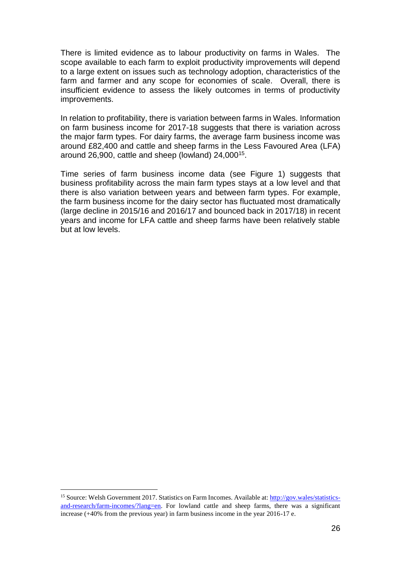There is limited evidence as to labour productivity on farms in Wales. The scope available to each farm to exploit productivity improvements will depend to a large extent on issues such as technology adoption, characteristics of the farm and farmer and any scope for economies of scale. Overall, there is insufficient evidence to assess the likely outcomes in terms of productivity improvements.

In relation to profitability, there is variation between farms in Wales. Information on farm business income for 2017-18 suggests that there is variation across the major farm types. For dairy farms, the average farm business income was around £82,400 and cattle and sheep farms in the Less Favoured Area (LFA) around 26,900, cattle and sheep (lowland) 24,000<sup>15</sup>.

Time series of farm business income data (see [Figure 1\)](#page-26-0) suggests that business profitability across the main farm types stays at a low level and that there is also variation between years and between farm types. For example, the farm business income for the dairy sector has fluctuated most dramatically (large decline in 2015/16 and 2016/17 and bounced back in 2017/18) in recent years and income for LFA cattle and sheep farms have been relatively stable but at low levels.

1

<sup>&</sup>lt;sup>15</sup> Source: Welsh Government 2017. Statistics on Farm Incomes. Available at[: http://gov.wales/statistics](http://gov.wales/statistics-and-research/farm-incomes/?lang=en)[and-research/farm-incomes/?lang=en.](http://gov.wales/statistics-and-research/farm-incomes/?lang=en) For lowland cattle and sheep farms, there was a significant increase (+40% from the previous year) in farm business income in the year 2016-17 e.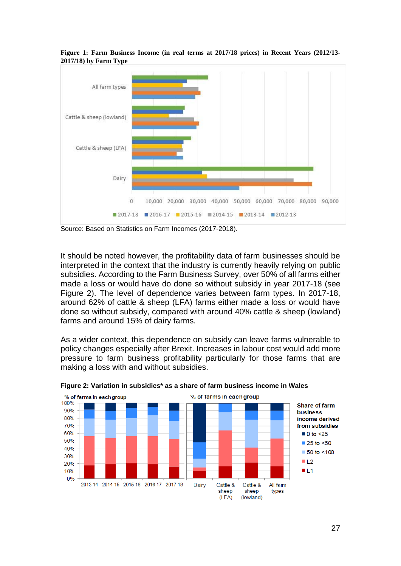

<span id="page-26-0"></span>**Figure 1: Farm Business Income (in real terms at 2017/18 prices) in Recent Years (2012/13- 2017/18) by Farm Type** 

Source: Based on Statistics on Farm Incomes (2017-2018).

It should be noted however, the profitability data of farm businesses should be interpreted in the context that the industry is currently heavily relying on public subsidies. According to the Farm Business Survey, over 50% of all farms either made a loss or would have do done so without subsidy in year 2017-18 (see [Figure 2\)](#page-26-1). The level of dependence varies between farm types. In 2017-18, around 62% of cattle & sheep (LFA) farms either made a loss or would have done so without subsidy, compared with around 40% cattle & sheep (lowland) farms and around 15% of dairy farms.

As a wider context, this dependence on subsidy can leave farms vulnerable to policy changes especially after Brexit. Increases in labour cost would add more pressure to farm business profitability particularly for those farms that are making a loss with and without subsidies.



<span id="page-26-1"></span>**Figure 2: Variation in subsidies\* as a share of farm business income in Wales**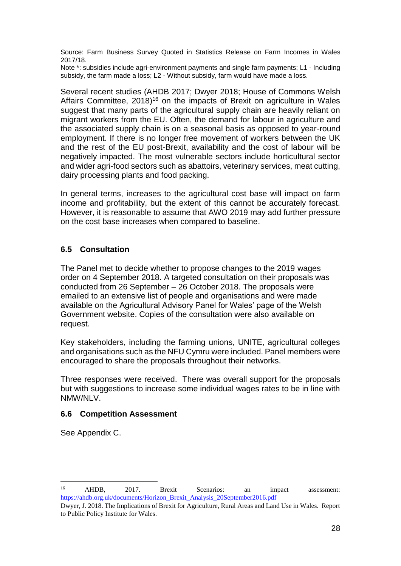Source: Farm Business Survey Quoted in Statistics Release on Farm Incomes in Wales 2017/18.

Note \*: subsidies include agri-environment payments and single farm payments; L1 - Including subsidy, the farm made a loss; L2 - Without subsidy, farm would have made a loss.

Several recent studies (AHDB 2017; Dwyer 2018; House of Commons Welsh Affairs Committee,  $2018$ <sup>16</sup> on the impacts of Brexit on agriculture in Wales suggest that many parts of the agricultural supply chain are heavily reliant on migrant workers from the EU. Often, the demand for labour in agriculture and the associated supply chain is on a seasonal basis as opposed to year-round employment. If there is no longer free movement of workers between the UK and the rest of the EU post-Brexit, availability and the cost of labour will be negatively impacted. The most vulnerable sectors include horticultural sector and wider agri-food sectors such as abattoirs, veterinary services, meat cutting, dairy processing plants and food packing.

In general terms, increases to the agricultural cost base will impact on farm income and profitability, but the extent of this cannot be accurately forecast. However, it is reasonable to assume that AWO 2019 may add further pressure on the cost base increases when compared to baseline.

#### **6.5 Consultation**

The Panel met to decide whether to propose changes to the 2019 wages order on 4 September 2018. A targeted consultation on their proposals was conducted from 26 September – 26 October 2018. The proposals were emailed to an extensive list of people and organisations and were made available on the Agricultural Advisory Panel for Wales' page of the Welsh Government website. Copies of the consultation were also available on request.

Key stakeholders, including the farming unions, UNITE, agricultural colleges and organisations such as the NFU Cymru were included. Panel members were encouraged to share the proposals throughout their networks.

Three responses were received. There was overall support for the proposals but with suggestions to increase some individual wages rates to be in line with NMW/NLV.

#### **6.6 Competition Assessment**

See Appendix C.

1

<sup>16</sup> AHDB, 2017. Brexit Scenarios: an impact assessment: [https://ahdb.org.uk/documents/Horizon\\_Brexit\\_Analysis\\_20September2016.pdf](https://ahdb.org.uk/documents/Horizon_Brexit_Analysis_20September2016.pdf)

Dwyer, J. 2018. The Implications of Brexit for Agriculture, Rural Areas and Land Use in Wales. Report to Public Policy Institute for Wales.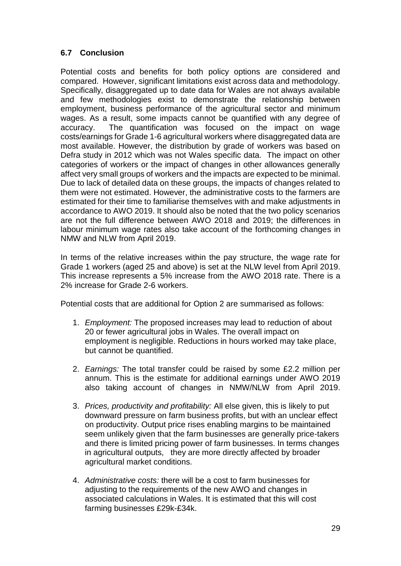# **6.7 Conclusion**

Potential costs and benefits for both policy options are considered and compared. However, significant limitations exist across data and methodology. Specifically, disaggregated up to date data for Wales are not always available and few methodologies exist to demonstrate the relationship between employment, business performance of the agricultural sector and minimum wages. As a result, some impacts cannot be quantified with any degree of accuracy. The quantification was focused on the impact on wage costs/earnings for Grade 1-6 agricultural workers where disaggregated data are most available. However, the distribution by grade of workers was based on Defra study in 2012 which was not Wales specific data. The impact on other categories of workers or the impact of changes in other allowances generally affect very small groups of workers and the impacts are expected to be minimal. Due to lack of detailed data on these groups, the impacts of changes related to them were not estimated. However, the administrative costs to the farmers are estimated for their time to familiarise themselves with and make adjustments in accordance to AWO 2019. It should also be noted that the two policy scenarios are not the full difference between AWO 2018 and 2019; the differences in labour minimum wage rates also take account of the forthcoming changes in NMW and NLW from April 2019.

In terms of the relative increases within the pay structure, the wage rate for Grade 1 workers (aged 25 and above) is set at the NLW level from April 2019. This increase represents a 5% increase from the AWO 2018 rate. There is a 2% increase for Grade 2-6 workers.

Potential costs that are additional for Option 2 are summarised as follows:

- 1. *Employment:* The proposed increases may lead to reduction of about 20 or fewer agricultural jobs in Wales. The overall impact on employment is negligible. Reductions in hours worked may take place, but cannot be quantified.
- 2. *Earnings:* The total transfer could be raised by some £2.2 million per annum. This is the estimate for additional earnings under AWO 2019 also taking account of changes in NMW/NLW from April 2019.
- 3. *Prices, productivity and profitability:* All else given, this is likely to put downward pressure on farm business profits, but with an unclear effect on productivity. Output price rises enabling margins to be maintained seem unlikely given that the farm businesses are generally price-takers and there is limited pricing power of farm businesses. In terms changes in agricultural outputs, they are more directly affected by broader agricultural market conditions.
- 4. *Administrative costs:* there will be a cost to farm businesses for adjusting to the requirements of the new AWO and changes in associated calculations in Wales. It is estimated that this will cost farming businesses £29k-£34k.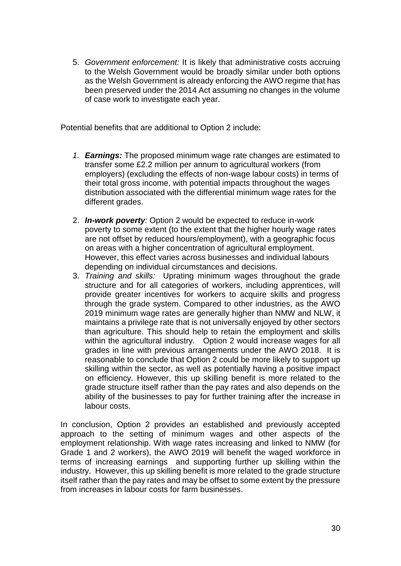5. *Government enforcement:* It is likely that administrative costs accruing to the Welsh Government would be broadly similar under both options as the Welsh Government is already enforcing the AWO regime that has been preserved under the 2014 Act assuming no changes in the volume of case work to investigate each year.

Potential benefits that are additional to Option 2 include:

- *1. Earnings:* The proposed minimum wage rate changes are estimated to transfer some £2.2 million per annum to agricultural workers (from employers) (excluding the effects of non-wage labour costs) in terms of their total gross income, with potential impacts throughout the wages distribution associated with the differential minimum wage rates for the different grades.
- 2. *In-work poverty:* Option 2 would be expected to reduce in-work poverty to some extent (to the extent that the higher hourly wage rates are not offset by reduced hours/employment), with a geographic focus on areas with a higher concentration of agricultural employment. However, this effect varies across businesses and individual labours depending on individual circumstances and decisions.
- 3. *Training and skills:* Uprating minimum wages throughout the grade structure and for all categories of workers, including apprentices, will provide greater incentives for workers to acquire skills and progress through the grade system. Compared to other industries, as the AWO 2019 minimum wage rates are generally higher than NMW and NLW, it maintains a privilege rate that is not universally enjoyed by other sectors than agriculture. This should help to retain the employment and skills within the agricultural industry. Option 2 would increase wages for all grades in line with previous arrangements under the AWO 2018. It is reasonable to conclude that Option 2 could be more likely to support up skilling within the sector, as well as potentially having a positive impact on efficiency. However, this up skilling benefit is more related to the grade structure itself rather than the pay rates and also depends on the ability of the businesses to pay for further training after the increase in labour costs.

In conclusion, Option 2 provides an established and previously accepted approach to the setting of minimum wages and other aspects of the employment relationship. With wage rates increasing and linked to NMW (for Grade 1 and 2 workers), the AWO 2019 will benefit the waged workforce in terms of increasing earnings and supporting further up skilling within the industry. However, this up skilling benefit is more related to the grade structure itself rather than the pay rates and may be offset to some extent by the pressure from increases in labour costs for farm businesses.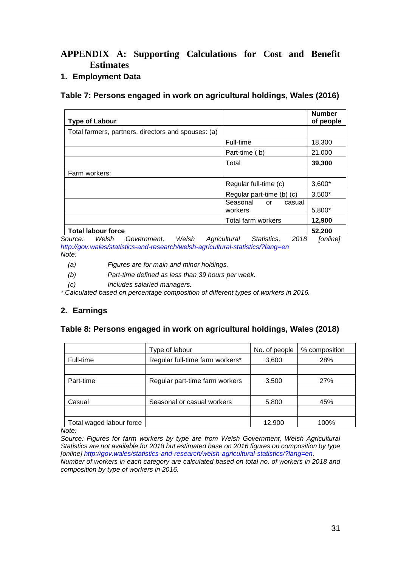# **APPENDIX A: Supporting Calculations for Cost and Benefit Estimates**

#### **1. Employment Data**

#### <span id="page-30-0"></span>**Table 7: Persons engaged in work on agricultural holdings, Wales (2016)**

| <b>Type of Labour</b>                               |                                     | <b>Number</b><br>of people |
|-----------------------------------------------------|-------------------------------------|----------------------------|
| Total farmers, partners, directors and spouses: (a) |                                     |                            |
|                                                     | Full-time                           | 18,300                     |
|                                                     | Part-time (b)                       | 21,000                     |
|                                                     | Total                               | 39,300                     |
| Farm workers:                                       |                                     |                            |
|                                                     | Regular full-time (c)               | $3,600*$                   |
|                                                     | Regular part-time (b) (c)           | $3,500*$                   |
|                                                     | Seasonal<br>casual<br>or<br>workers | 5,800*                     |
|                                                     | Total farm workers                  | 12,900                     |
| <b>Total labour force</b>                           |                                     | 52,200                     |
| Welsh<br>Welsh<br>Source:<br>Government.            | 2018<br>Statistics.<br>Agricultural | [online]                   |

*<http://gov.wales/statistics-and-research/welsh-agricultural-statistics/?lang=en>*

*Note:*

*(a) Figures are for main and minor holdings.*

*(b) Part-time defined as less than 39 hours per week.*

*(c) Includes salaried managers.*

*\* Calculated based on percentage composition of different types of workers in 2016.*

# **2. Earnings**

#### <span id="page-30-1"></span>**Table 8: Persons engaged in work on agricultural holdings, Wales (2018)**

|                          | Type of labour                  | No. of people | % composition |
|--------------------------|---------------------------------|---------------|---------------|
| Full-time                | Regular full-time farm workers* | 3,600         | 28%           |
|                          |                                 |               |               |
| Part-time                | Regular part-time farm workers  | 3,500         | 27%           |
|                          |                                 |               |               |
| Casual                   | Seasonal or casual workers      | 5,800         | 45%           |
|                          |                                 |               |               |
| Total waged labour force |                                 | 12,900        | 100%          |

*Note:* 

*Source: Figures for farm workers by type are from Welsh Government, Welsh Agricultural Statistics are not available for 2018 but estimated base on 2016 figures on composition by type [online] [http://gov.wales/statistics-and-research/welsh-agricultural-statistics/?lang=en.](http://gov.wales/statistics-and-research/welsh-agricultural-statistics/?lang=en)* 

*Number of workers in each category are calculated based on total no. of workers in 2018 and composition by type of workers in 2016.*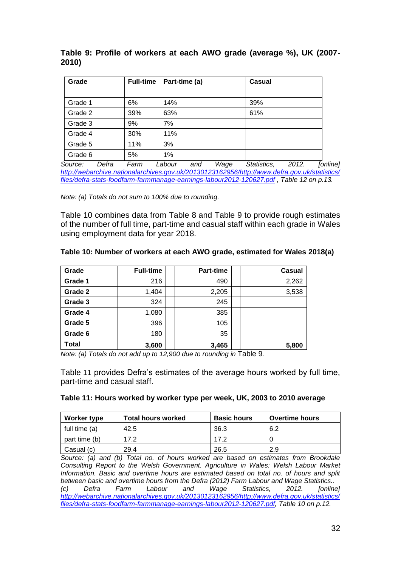| Grade   | <b>Full-time</b> | Part-time (a) | Casual |  |
|---------|------------------|---------------|--------|--|
|         |                  |               |        |  |
| Grade 1 | 6%               | 14%           | 39%    |  |
| Grade 2 | 39%              | 63%           | 61%    |  |
| Grade 3 | 9%               | 7%            |        |  |
| Grade 4 | 30%              | 11%           |        |  |
| Grade 5 | 11%              | 3%            |        |  |
| Grade 6 | 5%               | 1%            |        |  |

<span id="page-31-1"></span>**Table 9: Profile of workers at each AWO grade (average %), UK (2007- 2010)** 

*Source: Defra Farm Labour and Wage Statistics, 2012. [online] [http://webarchive.nationalarchives.gov.uk/20130123162956/http://www.defra.gov.uk/statistics/](http://webarchive.nationalarchives.gov.uk/20130123162956/http:/www.defra.gov.uk/statistics/files/defra-stats-foodfarm-farmmanage-earnings-labour2012-120627.pdf) [files/defra-stats-foodfarm-farmmanage-earnings-labour2012-120627.pdf](http://webarchive.nationalarchives.gov.uk/20130123162956/http:/www.defra.gov.uk/statistics/files/defra-stats-foodfarm-farmmanage-earnings-labour2012-120627.pdf) , Table 12 on p.13.*

*Note: (a) Totals do not sum to 100% due to rounding.*

[Table 10](#page-31-0) combines data from [Table 8](#page-30-1) and [Table 9](#page-31-1) to provide rough estimates of the number of full time, part-time and casual staff within each grade in Wales using employment data for year 2018.

#### <span id="page-31-0"></span>**Table 10: Number of workers at each AWO grade, estimated for Wales 2018(a)**

| Grade        | <b>Full-time</b> | Part-time | <b>Casual</b> |
|--------------|------------------|-----------|---------------|
| Grade 1      | 216              | 490       | 2,262         |
| Grade 2      | 1,404            | 2,205     | 3,538         |
| Grade 3      | 324              | 245       |               |
| Grade 4      | 1,080            | 385       |               |
| Grade 5      | 396              | 105       |               |
| Grade 6      | 180              | 35        |               |
| <b>Total</b> | 3,600            | 3,465     | 5,800         |

*Note: (a) Totals do not add up to 12,900 due to rounding in* [Table 9](#page-31-1)*.*

[Table](#page-31-2) 11 provides Defra's estimates of the average hours worked by full time, part-time and casual staff.

#### <span id="page-31-2"></span>**Table 11: Hours worked by worker type per week, UK, 2003 to 2010 average**

| Worker type   | <b>Total hours worked</b> | <b>Basic hours</b> | <b>Overtime hours</b> |
|---------------|---------------------------|--------------------|-----------------------|
| full time (a) | 42.5                      | 36.3               | 6.2                   |
| part time (b) | 17.2                      | 172                |                       |
| Casual (c)    | 29.4                      | 26.5               | 2.9                   |

*Source: (a) and (b) Total no. of hours worked are based on estimates from Brookdale Consulting Report to the Welsh Government. Agriculture in Wales: Welsh Labour Market Information. Basic and overtime hours are estimated based on total no. of hours and split between basic and overtime hours from the Defra (2012) Farm Labour and Wage Statistics.. (c) Defra Farm Labour and Wage Statistics, 2012. [online] [http://webarchive.nationalarchives.gov.uk/20130123162956/http://www.defra.gov.uk/statistics/](http://webarchive.nationalarchives.gov.uk/20130123162956/http:/www.defra.gov.uk/statistics/files/defra-stats-foodfarm-farmmanage-earnings-labour2012-120627.pdf) [files/defra-stats-foodfarm-farmmanage-earnings-labour2012-120627.pdf,](http://webarchive.nationalarchives.gov.uk/20130123162956/http:/www.defra.gov.uk/statistics/files/defra-stats-foodfarm-farmmanage-earnings-labour2012-120627.pdf) Table 10 on p.12.*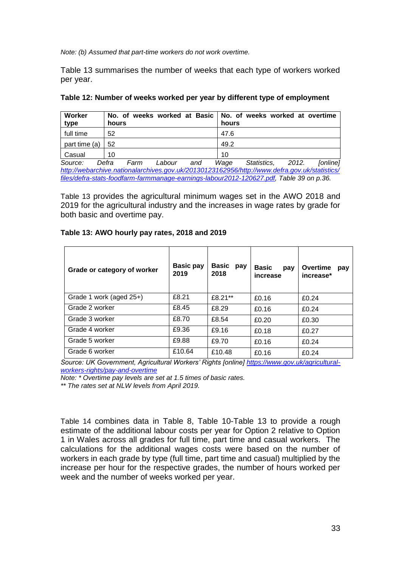*Note: (b) Assumed that part-time workers do not work overtime.*

Table 13 summarises the number of weeks that each type of workers worked per year.

| Worker<br>type | hours                          | No. of weeks worked at Basic   No. of weeks worked at overtime<br>hours                      |
|----------------|--------------------------------|----------------------------------------------------------------------------------------------|
| full time      | 52                             | 47.6                                                                                         |
| part time (a)  | 52                             | 49.2                                                                                         |
| Casual         | 10                             | 10                                                                                           |
| Source:        | Defra<br>Labour<br>Farm<br>and | Wage<br>2012.<br>Statistics,<br>[online]                                                     |
|                |                                | http://wabarchive.nationalarchives.gov.uk/20120123162056/http://www.defra.gov.uk/etatietics/ |

**Table 12: Number of weeks worked per year by different type of employment**

*[http://webarchive.nationalarchives.gov.uk/20130123162956/http://www.defra.gov.uk/statistics/](http://webarchive.nationalarchives.gov.uk/20130123162956/http:/www.defra.gov.uk/statistics/files/defra-stats-foodfarm-farmmanage-earnings-labour2012-120627.pdf) [files/defra-stats-foodfarm-farmmanage-earnings-labour2012-120627.pdf,](http://webarchive.nationalarchives.gov.uk/20130123162956/http:/www.defra.gov.uk/statistics/files/defra-stats-foodfarm-farmmanage-earnings-labour2012-120627.pdf) Table 39 on p.36.*

[Table 13](#page-32-0) provides the agricultural minimum wages set in the AWO 2018 and 2019 for the agricultural industry and the increases in wage rates by grade for both basic and overtime pay.

<span id="page-32-0"></span>

| Table 13: AWO hourly pay rates, 2018 and 2019 |  |  |  |
|-----------------------------------------------|--|--|--|
|-----------------------------------------------|--|--|--|

| Grade or category of worker | <b>Basic pay</b><br>2019 | <b>Basic</b><br>pay<br>2018 | <b>Basic</b><br>pay<br>increase | <b>Overtime</b><br>pay<br>increase* |
|-----------------------------|--------------------------|-----------------------------|---------------------------------|-------------------------------------|
| Grade 1 work (aged 25+)     | £8.21                    | £8.21**                     | £0.16                           | £0.24                               |
| Grade 2 worker              | £8.45                    | £8.29                       | £0.16                           | £0.24                               |
| Grade 3 worker              | £8.70                    | £8.54                       | £0.20                           | £0.30                               |
| Grade 4 worker              | £9.36                    | £9.16                       | £0.18                           | £0.27                               |
| Grade 5 worker              | £9.88                    | £9.70                       | £0.16                           | £0.24                               |
| Grade 6 worker              | £10.64                   | £10.48                      | £0.16                           | £0.24                               |

*Source: UK Government, Agricultural Workers' Rights [online] [https://www.gov.uk/agricultural](https://www.gov.uk/agricultural-workers-rights/pay-and-overtime)[workers-rights/pay-and-overtime](https://www.gov.uk/agricultural-workers-rights/pay-and-overtime)*

*Note: \* Overtime pay levels are set at 1.5 times of basic rates.*

*\*\* The rates set at NLW levels from April 2019.*

<span id="page-32-1"></span>[Table 14](#page-32-1) combines data in [Table 8,](#page-30-1) [Table 10](#page-31-0)[-Table 13](#page-32-0) to provide a rough estimate of the additional labour costs per year for Option 2 relative to Option 1 in Wales across all grades for full time, part time and casual workers. The calculations for the additional wages costs were based on the number of workers in each grade by type (full time, part time and casual) multiplied by the increase per hour for the respective grades, the number of hours worked per week and the number of weeks worked per year.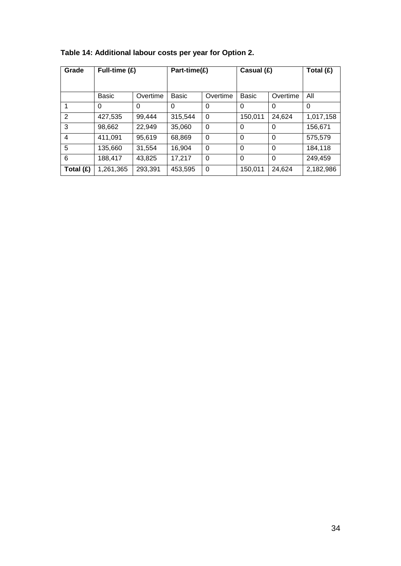| Grade     | Full-time (£) |          | Part-time(£) |          | Casual (£)  |          | Total (£) |
|-----------|---------------|----------|--------------|----------|-------------|----------|-----------|
|           |               |          |              |          |             |          |           |
|           | <b>Basic</b>  | Overtime | <b>Basic</b> | Overtime | Basic       | Overtime | All       |
|           | 0             | $\Omega$ | 0            | $\Omega$ | 0           | $\Omega$ | $\Omega$  |
| 2         | 427,535       | 99,444   | 315,544      | $\Omega$ | 150,011     | 24,624   | 1,017,158 |
| 3         | 98,662        | 22,949   | 35,060       | $\Omega$ | $\Omega$    | 0        | 156,671   |
| 4         | 411,091       | 95,619   | 68,869       | 0        | 0           | 0        | 575,579   |
| 5         | 135,660       | 31,554   | 16,904       | $\Omega$ | $\mathbf 0$ | $\Omega$ | 184,118   |
| 6         | 188,417       | 43.825   | 17,217       | $\Omega$ | 0           | 0        | 249,459   |
| Total (£) | 1,261,365     | 293,391  | 453,595      | $\Omega$ | 150,011     | 24,624   | 2,182,986 |

# **Table 14: Additional labour costs per year for Option 2.**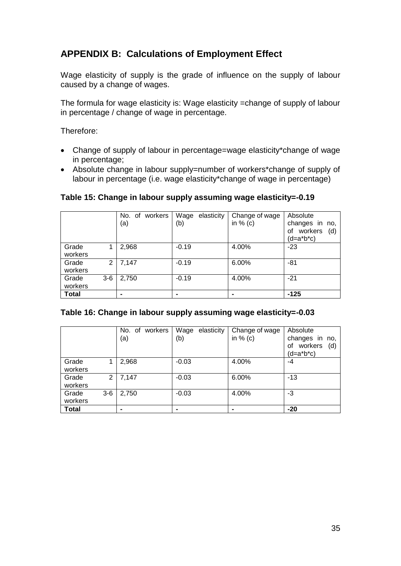# **APPENDIX B: Calculations of Employment Effect**

Wage elasticity of supply is the grade of influence on the supply of labour caused by a change of wages.

The formula for wage elasticity is: Wage elasticity =change of supply of labour in percentage / change of wage in percentage.

Therefore:

- Change of supply of labour in percentage=wage elasticity\*change of wage in percentage;
- Absolute change in labour supply=number of workers\*change of supply of labour in percentage (i.e. wage elasticity\*change of wage in percentage)

|              |                | No. of workers | Wage<br>elasticity | Change of wage | Absolute                               |
|--------------|----------------|----------------|--------------------|----------------|----------------------------------------|
|              |                | (a)            | (b)                | in $%$ (c)     | changes in no,<br>workers<br>(d)<br>οf |
|              |                |                |                    |                | (d=a*b*c)                              |
| Grade        |                | 2,968          | $-0.19$            | 4.00%          | $-23$                                  |
| workers      |                |                |                    |                |                                        |
| Grade        | 2 <sup>1</sup> | 7,147          | $-0.19$            | 6.00%          | $-81$                                  |
| workers      |                |                |                    |                |                                        |
| Grade        | $3-6$          | 2,750          | $-0.19$            | 4.00%          | $-21$                                  |
| workers      |                |                |                    |                |                                        |
| <b>Total</b> |                | $\blacksquare$ |                    |                | $-125$                                 |

#### <span id="page-34-0"></span>**Table 15: Change in labour supply assuming wage elasticity=-0.19**

<span id="page-34-1"></span>

|                  |       | workers<br>No. of<br>(a) | Wage<br>elasticity<br>(b) | Change of wage<br>in $%$ (c) | Absolute<br>changes in no,<br>workers<br>(d)<br>of<br>(d=a*b*c) |
|------------------|-------|--------------------------|---------------------------|------------------------------|-----------------------------------------------------------------|
| Grade<br>workers |       | 2,968                    | $-0.03$                   | 4.00%                        | -4                                                              |
| Grade<br>workers | 2     | 7,147                    | $-0.03$                   | 6.00%                        | $-13$                                                           |
| Grade<br>workers | $3-6$ | 2,750                    | $-0.03$                   | 4.00%                        | -3                                                              |
| <b>Total</b>     |       |                          |                           |                              | $-20$                                                           |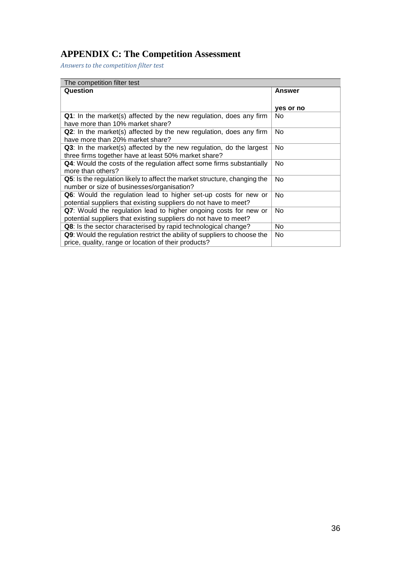# **APPENDIX C: The Competition Assessment**

*Answers to the competition filter test*

| The competition filter test                                               |                |  |  |  |
|---------------------------------------------------------------------------|----------------|--|--|--|
| Question                                                                  | <b>Answer</b>  |  |  |  |
|                                                                           |                |  |  |  |
|                                                                           | yes or no      |  |  |  |
| Q1: In the market(s) affected by the new regulation, does any firm        | N <sub>0</sub> |  |  |  |
| have more than 10% market share?                                          |                |  |  |  |
| Q2: In the market(s) affected by the new regulation, does any firm        | No             |  |  |  |
| have more than 20% market share?                                          |                |  |  |  |
| Q3: In the market(s) affected by the new regulation, do the largest       | No             |  |  |  |
| three firms together have at least 50% market share?                      |                |  |  |  |
| Q4: Would the costs of the regulation affect some firms substantially     | No             |  |  |  |
| more than others?                                                         |                |  |  |  |
| Q5: Is the regulation likely to affect the market structure, changing the | No.            |  |  |  |
| number or size of businesses/organisation?                                |                |  |  |  |
| Q6: Would the regulation lead to higher set-up costs for new or           | No             |  |  |  |
| potential suppliers that existing suppliers do not have to meet?          |                |  |  |  |
| Q7: Would the regulation lead to higher ongoing costs for new or          | No.            |  |  |  |
| potential suppliers that existing suppliers do not have to meet?          |                |  |  |  |
| Q8: Is the sector characterised by rapid technological change?            | No             |  |  |  |
| Q9: Would the regulation restrict the ability of suppliers to choose the  | No             |  |  |  |
| price, quality, range or location of their products?                      |                |  |  |  |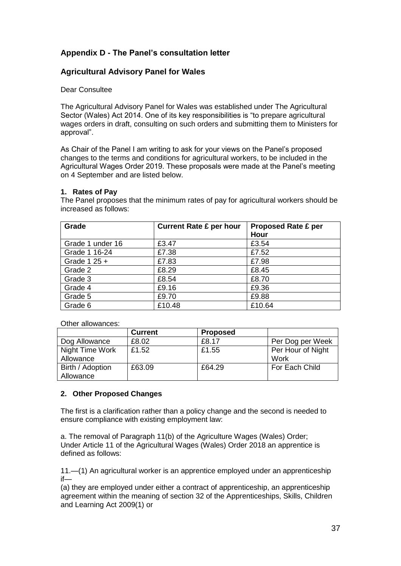# **Appendix D - The Panel's consultation letter**

#### **Agricultural Advisory Panel for Wales**

#### Dear Consultee

The Agricultural Advisory Panel for Wales was established under The Agricultural Sector (Wales) Act 2014. One of its key responsibilities is "to prepare agricultural wages orders in draft, consulting on such orders and submitting them to Ministers for approval".

As Chair of the Panel I am writing to ask for your views on the Panel's proposed changes to the terms and conditions for agricultural workers, to be included in the Agricultural Wages Order 2019. These proposals were made at the Panel's meeting on 4 September and are listed below.

#### **1. Rates of Pay**

The Panel proposes that the minimum rates of pay for agricultural workers should be increased as follows:

| Grade            | <b>Current Rate £ per hour</b> | <b>Proposed Rate £ per</b><br>Hour |
|------------------|--------------------------------|------------------------------------|
| Grade 1 under 16 | £3.47                          | £3.54                              |
| Grade 1 16-24    | £7.38                          | £7.52                              |
| Grade 1 25 $+$   | £7.83                          | £7.98                              |
| Grade 2          | £8.29                          | £8.45                              |
| Grade 3          | £8.54                          | £8.70                              |
| Grade 4          | £9.16                          | £9.36                              |
| Grade 5          | £9.70                          | £9.88                              |
| Grade 6          | £10.48                         | £10.64                             |

Other allowances:

|                  | <b>Current</b> | <b>Proposed</b> |                   |
|------------------|----------------|-----------------|-------------------|
| Dog Allowance    | £8.02          | £8.17           | Per Dog per Week  |
| Night Time Work  | £1.52          | £1.55           | Per Hour of Night |
| Allowance        |                |                 | Work              |
| Birth / Adoption | £63.09         | £64.29          | For Each Child    |
| Allowance        |                |                 |                   |

#### **2. Other Proposed Changes**

The first is a clarification rather than a policy change and the second is needed to ensure compliance with existing employment law:

a. The removal of Paragraph 11(b) of the Agriculture Wages (Wales) Order; Under Article 11 of the Agricultural Wages (Wales) Order 2018 an apprentice is defined as follows:

11.—(1) An agricultural worker is an apprentice employed under an apprenticeship if—

(a) they are employed under either a contract of apprenticeship, an apprenticeship agreement within the meaning of section 32 of the Apprenticeships, Skills, Children and Learning Act 2009(1) or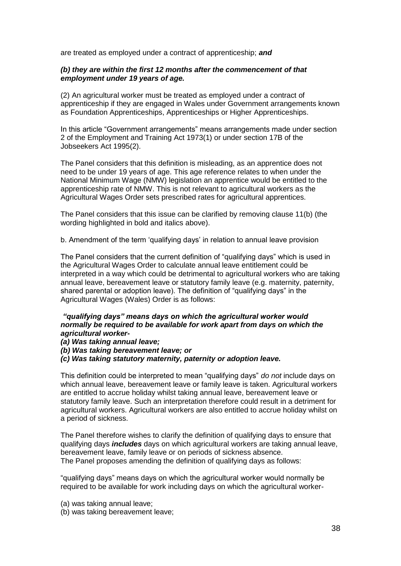are treated as employed under a contract of apprenticeship; *and* 

#### *(b) they are within the first 12 months after the commencement of that employment under 19 years of age.*

(2) An agricultural worker must be treated as employed under a contract of apprenticeship if they are engaged in Wales under Government arrangements known as Foundation Apprenticeships, Apprenticeships or Higher Apprenticeships.

In this article "Government arrangements" means arrangements made under section 2 of the Employment and Training Act 1973(1) or under section 17B of the Jobseekers Act 1995(2).

The Panel considers that this definition is misleading, as an apprentice does not need to be under 19 years of age. This age reference relates to when under the National Minimum Wage (NMW) legislation an apprentice would be entitled to the apprenticeship rate of NMW. This is not relevant to agricultural workers as the Agricultural Wages Order sets prescribed rates for agricultural apprentices.

The Panel considers that this issue can be clarified by removing clause 11(b) (the wording highlighted in bold and italics above).

b. Amendment of the term 'qualifying days' in relation to annual leave provision

The Panel considers that the current definition of "qualifying days" which is used in the Agricultural Wages Order to calculate annual leave entitlement could be interpreted in a way which could be detrimental to agricultural workers who are taking annual leave, bereavement leave or statutory family leave (e.g. maternity, paternity, shared parental or adoption leave). The definition of "qualifying days" in the Agricultural Wages (Wales) Order is as follows:

#### *"qualifying days" means days on which the agricultural worker would normally be required to be available for work apart from days on which the agricultural worker-*

*(a) Was taking annual leave;* 

*(b) Was taking bereavement leave; or* 

*(c) Was taking statutory maternity, paternity or adoption leave.* 

This definition could be interpreted to mean "qualifying days" *do not* include days on which annual leave, bereavement leave or family leave is taken. Agricultural workers are entitled to accrue holiday whilst taking annual leave, bereavement leave or statutory family leave. Such an interpretation therefore could result in a detriment for agricultural workers. Agricultural workers are also entitled to accrue holiday whilst on a period of sickness.

The Panel therefore wishes to clarify the definition of qualifying days to ensure that qualifying days *includes* days on which agricultural workers are taking annual leave, bereavement leave, family leave or on periods of sickness absence. The Panel proposes amending the definition of qualifying days as follows:

"qualifying days" means days on which the agricultural worker would normally be required to be available for work including days on which the agricultural worker-

(a) was taking annual leave;

(b) was taking bereavement leave;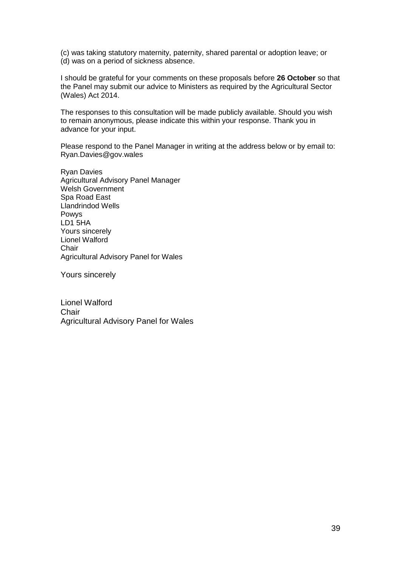(c) was taking statutory maternity, paternity, shared parental or adoption leave; or (d) was on a period of sickness absence.

I should be grateful for your comments on these proposals before **26 October** so that the Panel may submit our advice to Ministers as required by the Agricultural Sector (Wales) Act 2014.

The responses to this consultation will be made publicly available. Should you wish to remain anonymous, please indicate this within your response. Thank you in advance for your input.

Please respond to the Panel Manager in writing at the address below or by email to: Ryan.Davies@gov.wales

Ryan Davies Agricultural Advisory Panel Manager Welsh Government Spa Road East Llandrindod Wells Powys LD1 5HA Yours sincerely Lionel Walford **Chair** Agricultural Advisory Panel for Wales

Yours sincerely

Lionel Walford **Chair** Agricultural Advisory Panel for Wales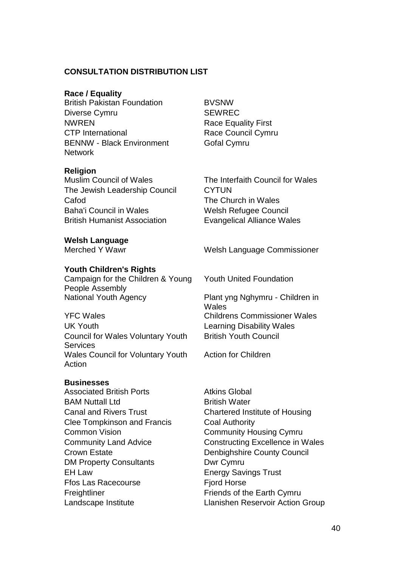#### **CONSULTATION DISTRIBUTION LIST**

#### **Race / Equality**

**British Pakistan Foundation BVSNW** Diverse Cymru SEWREC NWREN Race Equality First CTP International Race Council Cymru BENNW - Black Environment **Network** 

#### **Religion**

The Jewish Leadership Council CYTUN Cafod The Church in Wales Baha'i Council in Wales Welsh Refugee Council British Humanist Association Evangelical Alliance Wales

**Welsh Language** 

#### **Youth Children's Rights**

Campaign for the Children & Young People Assembly National Youth Agency Plant yng Nghymru - Children in

YFC Wales Childrens Commissioner Wales UK Youth Learning Disability Wales Council for Wales Voluntary Youth **Services** Wales Council for Voluntary Youth **Action** 

# **Businesses**

Associated British Ports **Atkins Global** BAM Nuttall I td British Water Clee Tompkinson and Francis Coal Authority Common Vision **Community Housing Cymru** Crown Estate **Denbighshire County Council** DM Property Consultants **DWI** Cymru EH Law Energy Savings Trust Ffos Las Racecourse Fiord Horse Freightliner **Friends** of the Earth Cymru

Gofal Cymru

Muslim Council of Wales The Interfaith Council for Wales

Welsh Language Commissioner

Youth United Foundation

Wales British Youth Council

Action for Children

Canal and Rivers Trust Chartered Institute of Housing Community Land Advice **Constructing Excellence in Wales** Landscape Institute Llanishen Reservoir Action Group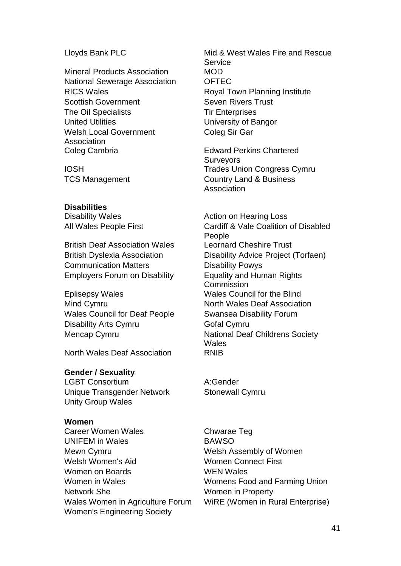Mineral Products Association MOD National Sewerage Association **OFTEC** RICS Wales **RICS** Wales **Royal Town Planning Institute** Scottish Government Seven Rivers Trust The Oil Specialists Tir Enterprises United Utilities University of Bangor Welsh Local Government Association<br>Coleg Cambria

#### **Disabilities**

Disability Wales **Action** on Hearing Loss **Disability** Wales

British Deaf Association Wales Leornard Cheshire Trust Communication Matters **Disability Powys** Employers Forum on Disability Equality and Human Rights

Eplisepsy Wales Wales Council for the Blind Mind Cymru North Wales Deaf Association Wales Council for Deaf People Swansea Disability Forum Disability Arts Cymru Gofal Cymru

North Wales Deaf Association RNIB

#### **Gender / Sexuality**

LGBT Consortium A:Gender Unique Transgender Network Stonewall Cymru Unity Group Wales

#### **Women**

Career Women Wales Chwarae Teq UNIFEM in Wales BAWSO Mewn Cymru **Mewn Cymru Cymru Cymru Cymru Cymru Cymru Cymru Cymru Cymru Cymru Cymru Cymru Cymru Cymru Cymru Cymru** Welsh Women's Aid Women Connect First Women on Boards WEN WEN Wales Women in Wales Womens Food and Farming Union Network She Women in Property Wales Women in Agriculture Forum WiRE (Women in Rural Enterprise) Women's Engineering Society

Lloyds Bank PLC Mid & West Wales Fire and Rescue Service Coleg Sir Gar

Edward Perkins Chartered **Surveyors** IOSH Trades Union Congress Cymru TCS Management Country Land & Business Association

All Wales People First Cardiff & Vale Coalition of Disabled People British Dyslexia Association Disability Advice Project (Torfaen) Commission Mencap Cymru **National Deaf Childrens Society Wales**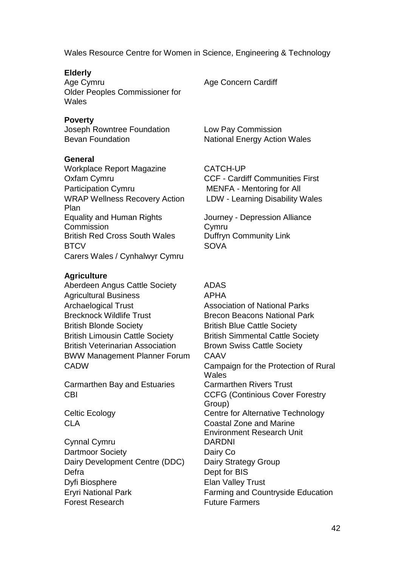Wales Resource Centre for Women in Science, Engineering & Technology

#### **Elderly**

Age Cymru Age Concern Cardiff Older Peoples Commissioner for **Wales** 

#### **Poverty**

Joseph Rowntree Foundation Low Pay Commission

#### **General**

Workplace Report Magazine CATCH-UP Oxfam Cymru CCF - Cardiff Communities First Participation Cymru MENFA - Mentoring for All WRAP Wellness Recovery Action Plan Equality and Human Rights Commission British Red Cross South Wales Duffryn Community Link BTCV SOVA Carers Wales / Cynhalwyr Cymru

#### **Agriculture**

Aberdeen Angus Cattle Society ADAS Agricultural Business APHA Archaelogical Trust **Association of National Parks** Brecknock Wildlife Trust **Brecon Beacons National Park** British Blonde Society **British Blue Cattle Society** British Limousin Cattle Society **British Simmental Cattle Society** British Veterinarian Association Brown Swiss Cattle Society BWW Management Planner Forum CAAV

Carmarthen Bay and Estuaries Carmarthen Rivers Trust

Cynnal Cymru DARDNI Dartmoor Society **Dairy Co.** Dairy Development Centre (DDC) Dairy Strategy Group Defra Dept for BIS Dyfi Biosphere **Elan Valley Trust** Forest Research Future Farmers

Bevan Foundation National Energy Action Wales

LDW - Learning Disability Wales

Journey - Depression Alliance **C**<sub>vmru</sub>

CADW Campaign for the Protection of Rural **Wales** CBI CBI CCFG (Continious Cover Forestry Group) Celtic Ecology Centre for Alternative Technology CLA Coastal Zone and Marine Environment Research Unit Eryri National Park Farming and Countryside Education